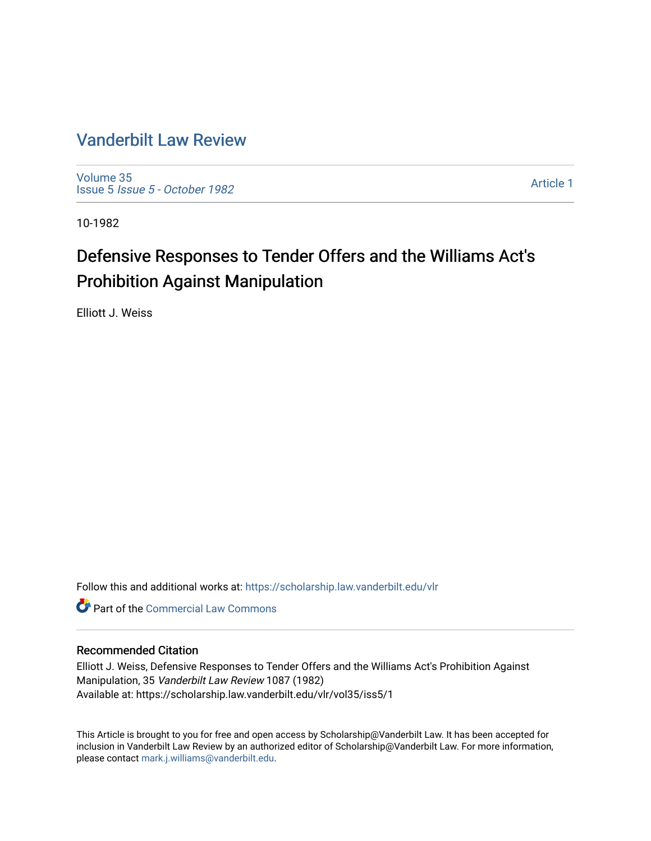# [Vanderbilt Law Review](https://scholarship.law.vanderbilt.edu/vlr)

[Volume 35](https://scholarship.law.vanderbilt.edu/vlr/vol35) Issue 5 [Issue 5 - October 1982](https://scholarship.law.vanderbilt.edu/vlr/vol35/iss5) 

[Article 1](https://scholarship.law.vanderbilt.edu/vlr/vol35/iss5/1) 

10-1982

# Defensive Responses to Tender Offers and the Williams Act's Prohibition Against Manipulation

Elliott J. Weiss

Follow this and additional works at: [https://scholarship.law.vanderbilt.edu/vlr](https://scholarship.law.vanderbilt.edu/vlr?utm_source=scholarship.law.vanderbilt.edu%2Fvlr%2Fvol35%2Fiss5%2F1&utm_medium=PDF&utm_campaign=PDFCoverPages)

**C** Part of the [Commercial Law Commons](http://network.bepress.com/hgg/discipline/586?utm_source=scholarship.law.vanderbilt.edu%2Fvlr%2Fvol35%2Fiss5%2F1&utm_medium=PDF&utm_campaign=PDFCoverPages)

# Recommended Citation

Elliott J. Weiss, Defensive Responses to Tender Offers and the Williams Act's Prohibition Against Manipulation, 35 Vanderbilt Law Review 1087 (1982) Available at: https://scholarship.law.vanderbilt.edu/vlr/vol35/iss5/1

This Article is brought to you for free and open access by Scholarship@Vanderbilt Law. It has been accepted for inclusion in Vanderbilt Law Review by an authorized editor of Scholarship@Vanderbilt Law. For more information, please contact [mark.j.williams@vanderbilt.edu.](mailto:mark.j.williams@vanderbilt.edu)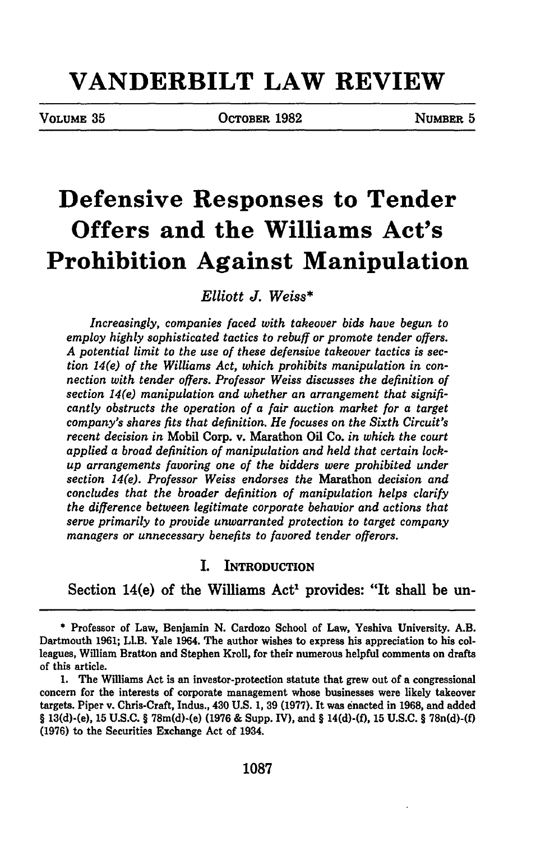# **VANDERBILT LAW REVIEW**

VOLUME **35** OCTOBER **1982** NUMBER **5**

# **Defensive Responses to Tender Offers and the Williams Act's Prohibition Against Manipulation**

*Elliott J. Weiss\**

*Increasingly, companies faced with takeover bids have begun to employ highly sophisticated tactics to rebuff or promote tender offers. A potential limit to the use of these defensive takeover tactics is section 14(e) of the Williams Act, which prohibits manipulation in connection with tender offers. Professor Weiss discusses the definition of section 14(e) manipulation and whether an arrangement that significantly obstructs the operation of a fair auction market for a target company's shares fits that definition. He focuses on the Sixth Circuit's recent decision in* Mobil Corp. v. Marathon Oil Co. *in which the court applied a broad definition of manipulation and held that certain lockup arrangements favoring one of the bidders were prohibited under section 14(e). Professor Weiss endorses the* Marathon *decision and concludes that the broader definition of manipulation helps clarify the difference between legitimate corporate behavior and actions that serve primarily to provide unwarranted protection to target company managers or unnecessary benefits to favored tender offerors.*

#### I. INTRODUCTION

Section 14(e) of the Williams Act<sup>1</sup> provides: "It shall be un-

**<sup>\*</sup>** Professor of Law, Benjamin **N.** Cardozo School of Law, Yeshiva University. A.B. Dartmouth **1961;** LI.B. Yale 1964. The author wishes to express his appreciation to his colleagues, William Bratton and Stephen Kroll, for their numerous helpful comments on drafts of this article.

**<sup>1.</sup>** The Williams Act is an investor-protection statute that grew out of a congressional concern for the interests of corporate management whose businesses were likely takeover targets. Piper v. Chris-Craft, Indus., 430 **U.S. 1, 39 (1977).** It was enacted in **1968,** and added **§** 13(d)-(e), **15 U.S.C.** § 78m(d)-(e) **(1976 &** Supp. IV), and § **14(d)-(f), 15 U.S.C.** § 78n(d)-(f) **(1976)** to the Securities Exchange Act of 1934.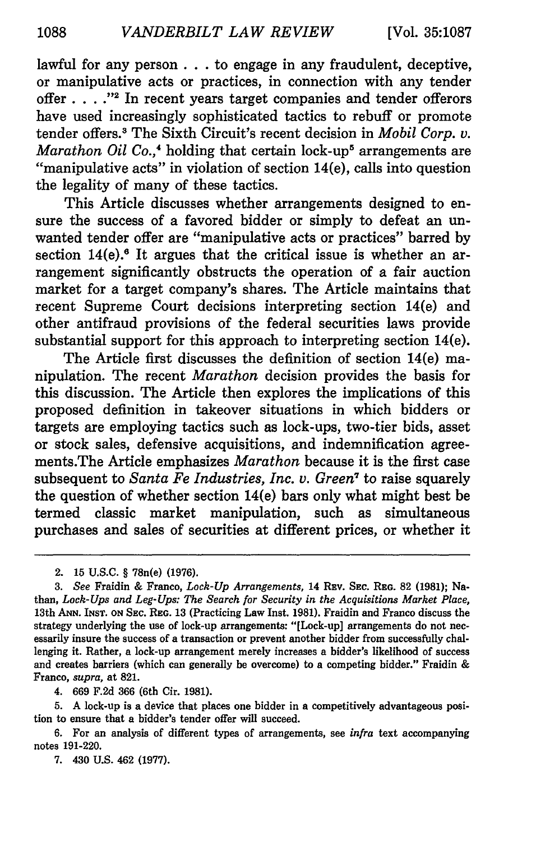lawful for any person **...** to engage in any fraudulent, deceptive, or manipulative acts or practices, in connection with any tender offer **... ."2** In recent years target companies and tender offerors have used increasingly sophisticated tactics to rebuff or promote tender offers.3 The Sixth Circuit's recent decision in *Mobil Corp. v. Marathon Oil Co.*,<sup>4</sup> holding that certain lock-up<sup>5</sup> arrangements are "manipulative acts" in violation of section 14(e), calls into question the legality of many of these tactics.

This Article discusses whether arrangements designed to ensure the success of a favored bidder or simply to defeat an unwanted tender offer are "manipulative acts or practices" barred by section  $14(e)$ .<sup>6</sup> It argues that the critical issue is whether an arrangement significantly obstructs the operation of a fair auction market for a target company's shares. The Article maintains that recent Supreme Court decisions interpreting section 14(e) and other antifraud provisions of the federal securities laws provide substantial support for this approach to interpreting section 14(e).

The Article first discusses the definition of section 14(e) manipulation. The recent *Marathon* decision provides the basis for this discussion. The Article then explores the implications of this proposed definition in takeover situations in which bidders or targets are employing tactics such as lock-ups, two-tier bids, asset or stock sales, defensive acquisitions, and indemnification agreements.The Article emphasizes *Marathon* because it is the first case subsequent to *Santa Fe Industries, Inc. v. Green*<sup>7</sup> to raise squarely the question of whether section 14(e) bars only what might best be termed classic market manipulation, such as simultaneous purchases and sales of securities at different prices, or whether it

2. **15 U.S.C.** § 78n(e) **(1976).**

4. 669 F.2d 366 (6th Cir. 1981).

5. A lock-up is a device that places one bidder in a competitively advantageous position to ensure that a bidder's tender offer will succeed.

6. For an analysis of different types of arrangements, see *infra* text accompanying notes 191-220.

7. 430 U.S. 462 **(1977).**

*<sup>3.</sup> See* Fraidin **&** Franco, *Lock-Up Arrangements,* 14 **REv. SEC. REG. 82 (1981);** Nathan, *Lock-Ups and Leg-Ups: The Search for Security in the Acquisitions Market Place,* 13th **ANN. INST. ON SEC.** REG. 13 (Practicing Law Inst. 1981). Fraidin and Franco discuss the strategy underlying the use of lock-up arrangements: "[Lock-up] arrangements do not necessarily insure the success of a transaction or prevent another bidder from successfully challenging it. Rather, a lock-up arrangement merely increases a bidder's likelihood of success and creates barriers (which can generally be overcome) to a competing bidder." Fraidin & Franco, *supra,* at 821.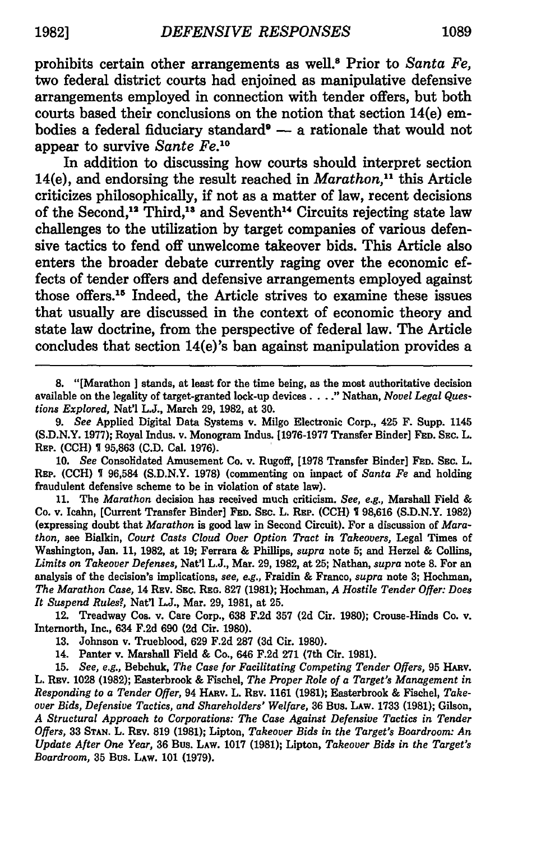prohibits certain other arrangements as well.8 Prior to *Santa Fe,* two federal district courts had enjoined as manipulative defensive arrangements employed in connection with tender offers, but both courts based their conclusions on the notion that section 14(e) embodies a federal fiduciary standard<sup>®</sup> - a rationale that would not appear to survive *Sante Fe.10*

In addition to discussing how courts should interpret section 14(e), and endorsing the result reached in *Marathon,"'* this Article criticizes philosophically, if not as a matter of law, recent decisions of the Second,<sup>12</sup> Third,<sup>13</sup> and Seventh<sup>14</sup> Circuits rejecting state law challenges to the utilization by target companies of various defensive tactics to fend off unwelcome takeover bids. This Article also enters the broader debate currently raging over the economic effects of tender offers and defensive arrangements employed against those offers.<sup>15</sup> Indeed, the Article strives to examine these issues that usually are discussed in the context of economic theory and state law doctrine, from the perspective of federal law. The Article concludes that section 14(e)'s ban against manipulation provides a

**8.** "[Marathon ] stands, at least for the time being, as the most authoritative decision available on the legality of target-granted lock-up devices .... Nathan, *Novel Legal Questions Explored,* Nat'l **L.J.,** March **29, 1982,** at **30.**

*9. See* Applied Digital Data Systems v. Milgo Electronic Corp., 425 F. Supp. 1145 **(S.D.N.Y. 1977);** Royal Indus. v. Monogram Indus. **[1976-1977** Transfer Binder] **FED. SEC.** L. **REP. (CCH) 1 95,863 (C.D.** Cal. **1976).**

**10.** *See* Consolidated Amusement Co. v. Rugoff, **[1978** Transfer Binder] **FED. SEc.** L. **REP. (CCH) 96,584 (S.D.N.Y. 1978)** (commenting on impact of *Santa Fe* and holding fraudulent defensive scheme to be in violation of state law).

**11.** The *Marathon* decision has received much criticism. *See, e.g.,* Marshall Field **&** Co. v. Icahn, [Current Transfer Binder] **FED. SEC.** L. REP. **(CCH)** 1 **98,616 (S.D.N.Y. 1982)** (expressing doubt that *Marathon* is good law in Second Circuit). For a discussion of *Marathon,* see Bialkin, *Court Casts Cloud Over Option Tract in Takeovers,* Legal Times of Washington, Jan. **11, 1982,** at **19;** Ferrara **&** Phillips, *supra* note **5;** and Herzel **&** Collins, Limits on Takeover Defenses, Nat'l L.J., Mar. 29, 1982, at 25; Nathan, supra note 8. For an analysis of the decision's implications, see, e.g., Fraidin & Franco, supra note 3; Hochman, *The Marathon Case,* 14 REv. **SEc. REG. 827 (1981);** Hochman, *A Hostile Tender Offer: Does It Suspend Rules?,* Nat'l **L.J.,** Mar. **29, 1981,** at **25.**

12. Treadway Cos. v. Care Corp., **638 F.2d 357 (2d** Cir. **1980);** Crouse-Hinds Co. v. Internorth, Inc., 634 **F.2d 690 (2d** Cir. **1980).**

**13.** Johnson v. Trueblood, **629 F.2d 287 (3d** Cir. **1980).**

14. Panter v. Marshall Field **&** Co., 646 **F.2d 271** (7th Cir. **1981).**

**15.** *See, e.g.,* Bebchuk, *The Case for Facilitating Competing Tender Offers,* **95 HARV.** L. **REV. 1028 (1982);** Easterbrook **&** Fischel, *The Proper Role of a Target's Management in Responding to a Tender Offer,* 94 **HIv.** L. **REv. 1161 (1981);** Easterbrook **&** Fischel, *Takeover Bids, Defensive Tactics, and Shareholders' Welfare,* **36** Bus. **LAW. 1733 (1981);** Gilson, *A Structural Approach to Corporations: The Case Against Defensive Tactics in Tender Offers,* **33 STAN.** L. **REV. 819 (1981);** Lipton, *Takeover Bids in the Target's Boardroom: An Update After One Year,* **36** Bus. **LAW. 1017 (1981);** Lipton, *Takeover Bids in the Target's Boardroom,* **35** Bus. LAW. **101 (1979).**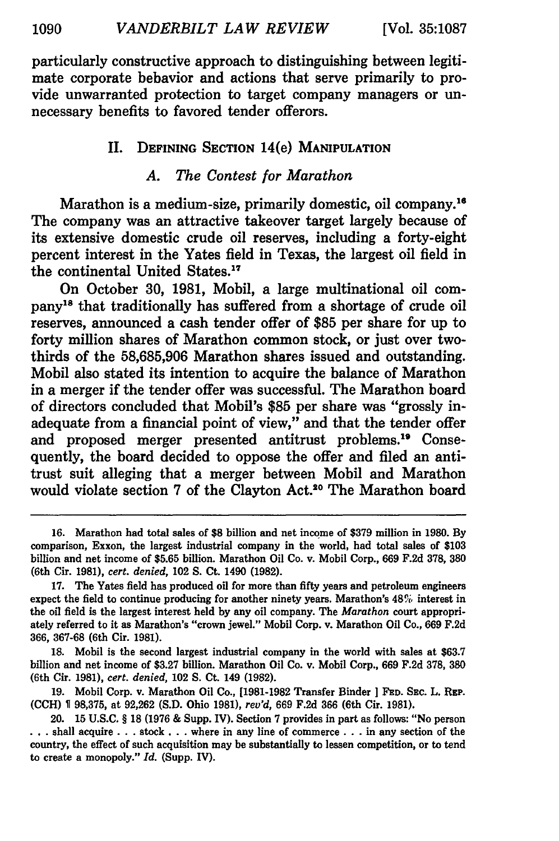particularly constructive approach to distinguishing between legitimate corporate behavior and actions that serve primarily to provide unwarranted protection to target company managers or unnecessary benefits to favored tender offerors.

#### **II. DEFINING SECTION** 14(e) **MANIPULATION**

# *A. The Contest for Marathon*

Marathon is a medium-size, primarily domestic, oil company.<sup>16</sup> The company was an attractive takeover target largely because of its extensive domestic crude oil reserves, including a forty-eight percent interest in the Yates field in Texas, the largest oil field in the continental United States.<sup>17</sup>

On October **30, 1981,** Mobil, a large multinational oil company"' that traditionally has suffered from a shortage of crude oil reserves, announced a cash tender offer of **\$85** per share for up to forty million shares of Marathon common stock, or just over twothirds of the **58,685,906** Marathon shares issued and outstanding. Mobil also stated its intention to acquire the balance of Marathon in a merger if the tender offer was successful. The Marathon board of directors concluded that Mobil's **\$85** per share was "grossly inadequate from a financial point of view," and that the tender offer and proposed merger presented antitrust problems.1' Consequently, the board decided to oppose the offer and filed an antitrust suit alleging that a merger between Mobil and Marathon would violate section 7 of the Clayton Act.<sup>20</sup> The Marathon board

**<sup>16.</sup>** Marathon had total sales of **\$8** billion and net income of **\$379** million in **1980. By** comparison, Exxon, the largest industrial company in the world, had total sales of **\$103** billion and net income of **\$5.65** billion. Marathon Oil Co. v. Mobil Corp., **669 F.2d 378, 380** (6th Cir. **1981),** *cert. denied,* 102 **S.** Ct. 1490 **(1982).**

**<sup>17.</sup>** The Yates field has produced oil for more than fifty years and petroleum engineers expect the field to continue producing for another ninety years. Marathon's 48% interest in the oil field is the largest interest held **by** any oil company. The *Marathon* court appropriately referred to it as Marathon's "crown jewel." Mobil Corp. v. Marathon Oil Co., **669 F.2d 366, 367-68** (6th Cir. **1981).**

**<sup>18.</sup>** Mobil is the second largest industrial company in the world with sales at **\$63.7** billion and net income of **\$3.27** billion. Marathon Oil Co. v. Mobil Corp., **669 F.2d 378, 380** (6th Cir. **1981),** *cert. denied,* 102 **S.** Ct. 149 **(1982).**

**<sup>19.</sup>** Mobil Corp. v. Marathon Oil Co., **[1981-1982** Transfer Binder **] FED.** SEc. L. **REP. (CCH) V 98,375,** at **92,262 (S.D.** Ohio **1981),** *rev'd,* **669 F.2d 366** (6th Cir. **1981).**

<sup>20.</sup> **15 U.S.C.** § **18 (1976 &** Supp. IV). Section **7** provides in part as follows: "No person **...** shall acquire **...** stock **...** where in any line of commerce **...** in any section of the country, the effect of such acquisition may be substantially to lessen competition, or to tend to create a monopoly." *Id.* (Supp. IV).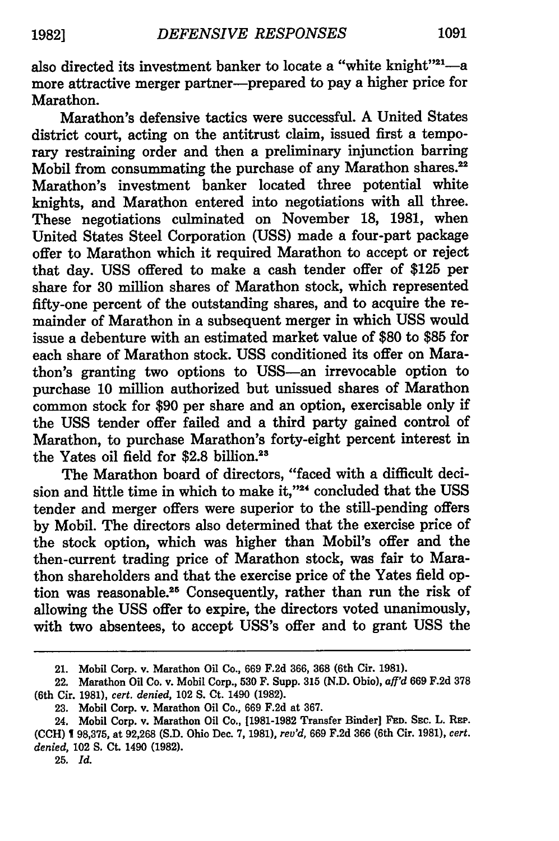also directed its investment banker to locate a "white knight"<sup>21</sup>-a more attractive merger partner-prepared to pay a higher price for Marathon.

Marathon's defensive tactics were successful. **A** United States district court, acting on the antitrust claim, issued first a temporary restraining order and then a preliminary injunction barring Mobil from consummating the purchase of any Marathon shares.<sup>22</sup> Marathon's investment banker located three potential white knights, and Marathon entered into negotiations with all three. These negotiations culminated on November **18, 1981,** when United States Steel Corporation **(USS)** made a four-part package offer to Marathon which it required Marathon to accept or reject that day. **USS** offered to make a cash tender offer of **\$125** per share for **30** million shares of Marathon stock, which represented fifty-one percent of the outstanding shares, and to acquire the remainder of Marathon in a subsequent merger in which **USS** would issue a debenture with an estimated market value of **\$80** to **\$85** for each share of Marathon stock. **USS** conditioned its offer on Marathon's granting two options to USS-an irrevocable option to purchase **10** million authorized but unissued shares of Marathon common stock for **\$90** per share and an option, exercisable only if the **USS** tender offer failed and a third party gained control of Marathon, to purchase Marathon's forty-eight percent interest in the Yates oil field for **\$2.8** billion.23

The Marathon board of directors, "faced with a difficult decision and little time in which to make it,"<sup>24</sup> concluded that the USS tender and merger offers were superior to the still-pending offers **by** Mobil. The directors also determined that the exercise price of the stock option, which was higher than Mobil's offer and the then-current trading price of Marathon stock, was fair to Marathon shareholders and that the exercise price of the Yates field option was reasonable.25 Consequently, rather than run the risk of allowing the **USS** offer to expire, the directors voted unanimously, with two absentees, to accept USS's offer and to grant **USS** the

25. *Id.*

<sup>21.</sup> Mobil Corp. v. Marathon Oil Co., **669 F.2d 366, 368** (6th Cir. **1981).**

<sup>22.</sup> Marathon Oil Co. v. Mobil Corp., **530 F.** Supp. **315 (N.D.** Ohio), *aff'd* **669 F.2d 378** (6th Cir. **1981),** *cert. denied,* 102 **S. Ct.** 1490 **(1982).**

**<sup>23.</sup>** Mobil Corp. v. Marathon Oil Co., **669 F.2d** at **367.**

<sup>24.</sup> Mobil Corp. v. Marathon Oil Co., **[1981-1982** Transfer Binder] **FED. SEc.** L. REP. **(CCH) 1 98,375,** at **92,268 (S.D.** Ohio Dec. **7, 1981),** *rev'd,* **669 F.2d 366** (6th Cir. **1981),** *cert. denied,* 102 **S.** Ct. 1490 **(1982).**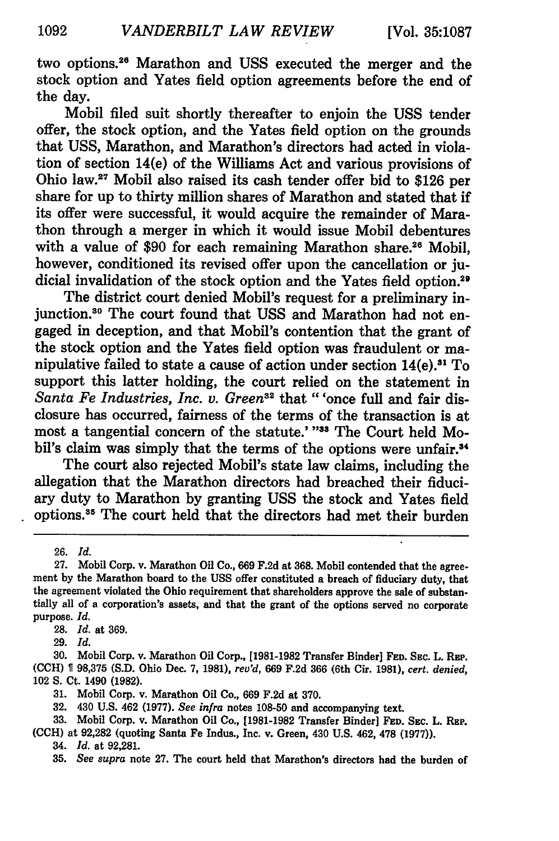two options.<sup>26</sup> Marathon and USS executed the merger and the stock option and Yates field option agreements before the end of the day.

Mobil filed suit shortly thereafter to enjoin the **USS** tender offer, the stock option, and the Yates field option on the grounds that USS, Marathon, and Marathon's directors had acted in violation of section 14(e) of the Williams Act and various provisions of Ohio law." Mobil also raised its cash tender offer bid to \$126 per share for up to thirty million shares of Marathon and stated that if its offer were successful, it would acquire the remainder of Marathon through a merger in which it would issue Mobil debentures with a value of \$90 for each remaining Marathon share.<sup>26</sup> Mobil, however, conditioned its revised offer upon the cancellation or judicial invalidation of the stock option and the Yates field option.<sup>29</sup><br>The district court denied Mobil's request for a preliminary in-

junction.<sup>30</sup> The court found that USS and Marathon had not engaged in deception, and that Mobil's contention that the grant of the stock option and the Yates field option was fraudulent or manipulative failed to state a cause of action under section  $14(e)$ .<sup>31</sup> To support this latter holding, the court relied on the statement in Santa Fe Industries, Inc. v. Green<sup>32</sup> that "'once full and fair disclosure has occurred, fairness of the terms of the transaction is at most a tangential concern of the statute.' "33 The Court held Mobil's claim was simply that the terms of the options were unfair.<sup>34</sup>

The court also rejected Mobil's state law claims, including the allegation that the Marathon directors had breached their fiduciary duty to Marathon by granting **USS** the stock and Yates field options.<sup>35</sup> The court held that the directors had met their burden

26. *Id.*

28. *Id.* at 369.

29. *Id.*

**30.** Mobil Corp. v. Marathon Oil Corp., **[1981-1982** Transfer Binder] **FED.** SEc. L. **REP. (CCH) 98,375 (S.D.** Ohio Dec. **7, 1981),** *rev'd,* **669 F.2d 366** (6th Cir. **1981),** *cert. denied,* 102 **S.** Ct. 1490 **(1982).**

**31.** Mobil Corp. v. Marathon Oil Co., **669 F.2d** at **370.**

**32.** 430 **U.S.** 462 **(1977).** *See infra* notes **108-50** and accompanying text.

**33.** Mobil Corp. v. Marathon Oil Co., **[1981-1982** Transfer Binder] FED. **SEC.** L. REP. **(CCH)** at **92,282** (quoting Santa Fe Indus., Inc. v. Green, 430 **U.S.** 462, **478 (1977)).**

34. *Id.* at **92,281.**

**35.** *See supra* note **27.** The court held that Marathon's directors had the burden of

<sup>27.</sup> Mobil Corp. v. Marathon Oil Co., 669 F.2d at **368.** Mobil contended that the agreement by the Marathon board to the **USS** offer constituted a breach of fiduciary duty, that the agreement violated the Ohio requirement that shareholders approve the sale of substantially all of a corporation's assets, and that the grant of the options served no corporate purpose. *Id.*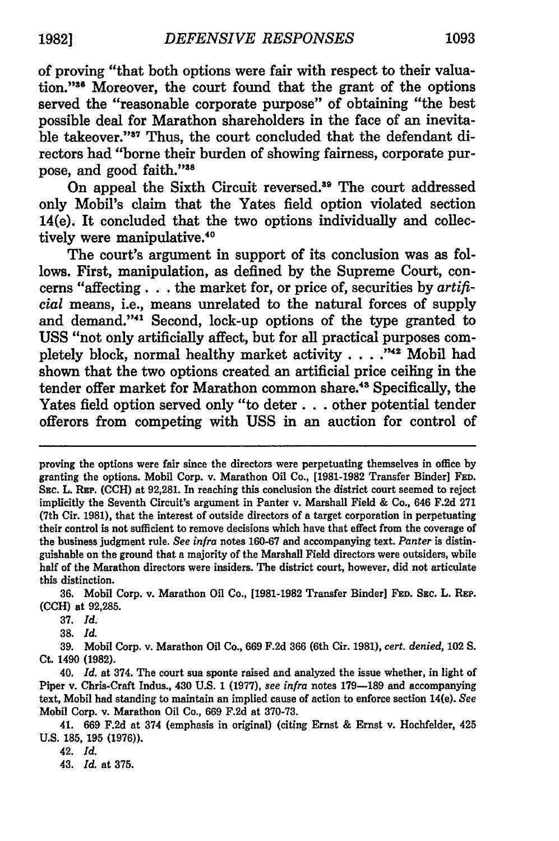of proving "that both options were fair with respect to their valuation."<sup>36</sup> Moreover, the court found that the grant of the options served the "reasonable corporate purpose" of obtaining "the best possible deal for Marathon shareholders in the face of an inevitable takeover."<sup>37</sup> Thus, the court concluded that the defendant directors had "borne their burden of showing fairness, corporate purpose, and good faith."38

On appeal the Sixth Circuit reversed.<sup>39</sup> The court addressed only Mobil's claim that the Yates field option violated section 14(e). It concluded that the two options individually and collectively were manipulative.<sup>40</sup>

The court's argument in support of its conclusion was as follows. First, manipulation, as defined by the Supreme Court, concerns "affecting. **..** the market for, or price of, securities by *artificial* means, i.e., means unrelated to the natural forces of supply and demand."<sup>41</sup> Second, lock-up options of the type granted to **USS** "not only artificially affect, but for all practical purposes completely block, normal healthy market activity . . . . "<sup>42</sup> Mobil had shown that the two options created an artificial price ceiling in the tender offer market for Marathon common share.<sup>48</sup> Specifically, the Yates field option served only "to deter **...** other potential tender offerors from competing with **USS** in an auction for control of

**36.** Mobil Corp. v. Marathon Oil Co., **[1981-1982** Transfer Binder] **FED. SEc.** L. **REP. (CCH)** at 92,285.

**37.** *Id.*

**38.** *Id.*

**39.** Mobil Corp. v. Marathon Oil Co., **669 F.2d 366** (6th Cir. **1981),** *cert. denied,* **102 S. Ct.** 1490 **(1982).**

40. *Id.* at 374. The court sua sponte raised and analyzed the issue whether, in light of Piper v. Chris-Craft Indus., 430 **U.S. 1 (1977),** *see infra* notes **179-189** and accompanying text, Mobil had standing to maintain an implied cause of action to enforce section 14(e). *See* Mobil Corp. v. Marathon Oil Co., **669 F.2d** at **370-73.**

41. **669 F.2d** at 374 (emphasis in original) (citing Ernst **&** Ernst v. Hochfelder, 425 **U.S. 185, 195 (1976)).**

42. *Id.*

43. *Id.* at **375.**

proving the options were fair since the directors were perpetuating themselves in office by granting the options. Mobil Corp. v. Marathon Oil Co., [1981-1982 Transfer Binder] **FED.** SEC. L. REP. **(CCH)** at 92,281. In reaching this conclusion the district court seemed to reject implicitly the Seventh Circuit's argument in Panter v. Marshall Field & Co., 646 F.2d 271 (7th Cir. 1981), that the interest of outside directors of a target corporation in perpetuating their control is not sufficient to remove decisions which have that effect from the coverage of the business judgment rule. *See infra* notes 160-67 and accompanying text. *Panter* is distinguishable on the ground that a majority of the Marshall Field directors were outsiders, while half of the Marathon directors were insiders. The district court, however, did not articulate this distinction.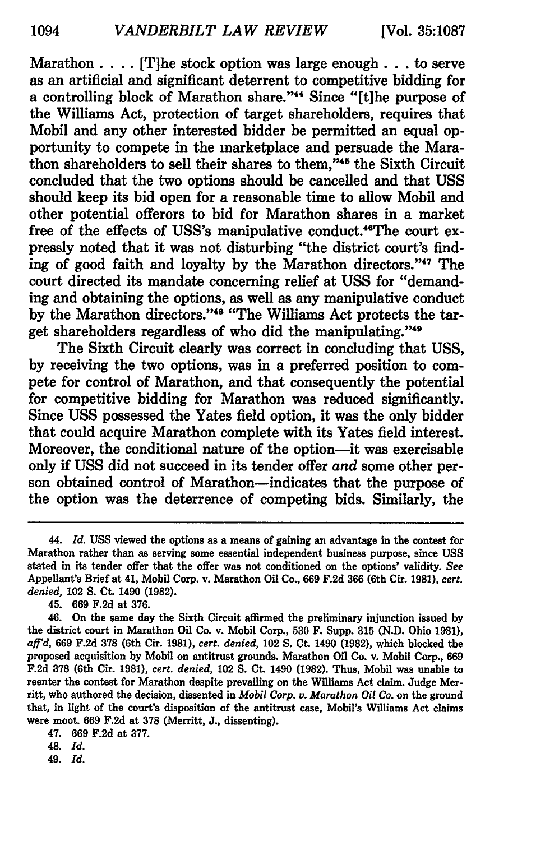Marathon. . **..** [T]he stock option was large enough.., to serve as an artificial and significant deterrent to competitive bidding for a controlling block of Marathon share."<sup>44</sup> Since "[t]he purpose of the Williams Act, protection of target shareholders, requires that Mobil and any other interested bidder be permitted an equal opportunity to compete in the marketplace and persuade the Marathon shareholders to sell their shares to them, '45 the Sixth Circuit concluded that the two options should be cancelled and that **USS** should keep its bid open for a reasonable time to allow Mobil and other potential offerors to bid for Marathon shares in a market free of the effects of USS's manipulative conduct.<sup>46</sup>The court expressly noted that it was not disturbing "the district court's finding of good faith and loyalty by the Marathon directors."<sup>47</sup> The court directed its mandate concerning relief at **USS** for "demanding and obtaining the options, as well as any manipulative conduct by the Marathon directors."<sup>48</sup> "The Williams Act protects the target shareholders regardless of who did the manipulating."<sup>49</sup>

The Sixth Circuit clearly was correct in concluding that USS, by receiving the two options, was in a preferred position to compete for control of Marathon, and that consequently the potential for competitive bidding for Marathon was reduced significantly. Since **USS** possessed the Yates field option, it was the only bidder that could acquire Marathon complete with its Yates field interest. Moreover, the conditional nature of the option-it was exercisable only if **USS** did not succeed in its tender offer *and* some other person obtained control of Marathon-indicates that the purpose of the option was the deterrence of competing bids. Similarly, the

45. **669 F.2d** at **376.**

48. *Id.*

49. *Id.*

<sup>44.</sup> *Id.* **USS** viewed the options as a means of gaining an advantage in the contest for Marathon rather than as serving some essential independent business purpose, since **USS** stated in its tender offer that the offer was not conditioned on the options' validity. *See* Appellant's Brief at 41, Mobil Corp. v. Marathon **Oil** Co., **669 F.2d 366** (6th Cir. **1981),** *cert. denied,* 102 **S.** Ct. 1490 **(1982).**

<sup>46.</sup> On the same day the Sixth Circuit affirmed the preliminary injunction issued **by** the district court in Marathon **Oil** Co. v. Mobil Corp., **530** F. Supp. **315 (N.D.** Ohio **1981),** *aff'd,* **669 F.2d 378** (6th Cir. **1981),** *cert. denied,* 102 **S.** Ct. 1490 **(1982),** which blocked the proposed acquisition **by** Mobil on antitrust grounds. Marathon Oil Co. v. Mobil Corp., **669 F.2d 378** (6th Cir. **1981),** *cert. denied,* 102 **S.** Ct. 1490 **(1982).** Thus, Mobil was unable to reenter the contest for Marathon despite prevailing on the **Williams** Act claim. Judge Merritt, who authored the decision, dissented in *Mobil Corp. v. Marathon Oil Co.* on the ground that, in light of the court's disposition of the antitrust case, Mobil's Williams Act claims were moot. **669 F.2d** at **378** (Merritt, **J.,** dissenting).

<sup>47.</sup> **669 F.2d** at **377.**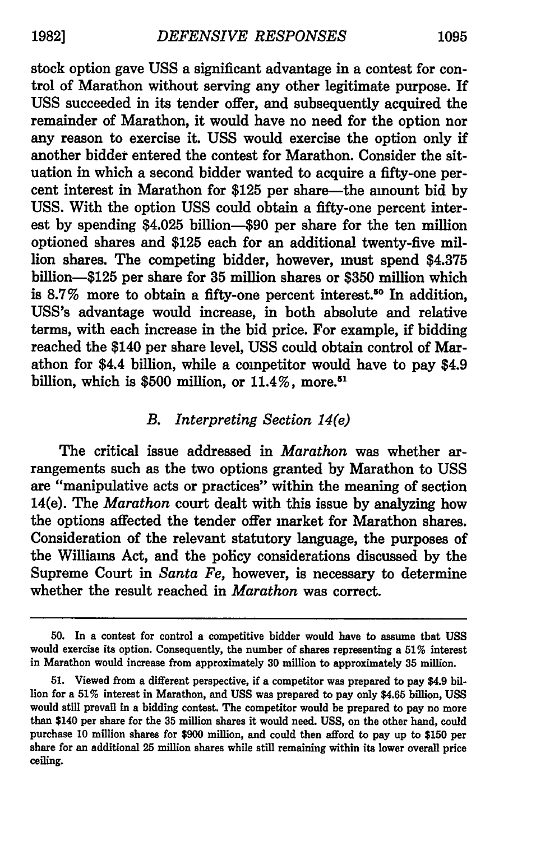stock option gave **USS** a significant advantage in a contest for control of Marathon without serving any other legitimate purpose. If USS succeeded in its tender offer, and subsequently acquired the remainder of Marathon, it would have no need for the option nor any reason to exercise it. USS would exercise the option only if another bidder entered the contest for Marathon. Consider the situation in which a second bidder wanted to acquire a fifty-one percent interest in Marathon for \$125 per share—the amount bid by USS. With the option USS could obtain a fifty-one percent interest by spending \$4.025 billion-\$90 per share for the ten million optioned shares and \$125 each for an additional twenty-five million shares. The competing bidder, however, must spend \$4.375 billion-\$125 per share for 35 million shares or \$350 million which is 8.7% more to obtain a fifty-one percent interest.<sup>50</sup> In addition, USS's advantage would increase, in both absolute and relative terms, with each increase in the bid price. For example, if bidding reached the \$140 per share level, USS could obtain control of Marathon for \$4.4 billion, while a competitor would have to pay \$4.9 billion, which is \$500 million, or  $11.4\%$ , more.<sup>51</sup>

# *B. Interpreting Section 14(e)*

The critical issue addressed in *Marathon* was whether arrangements such as the two options granted by Marathon to **USS** are "manipulative acts or practices" within the meaning of section 14(e). The *Marathon* court dealt with this issue by analyzing how the options affected the tender offer market for Marathon shares. Consideration of the relevant statutory language, the purposes of the Williams Act, and the policy considerations discussed by the Supreme Court in *Santa Fe,* however, is necessary to determine whether the result reached in *Marathon* was correct.

**<sup>50.</sup>** In a contest for control a competitive bidder would have to assume that **USS** would exercise its option. Consequently, the number of shares representing a **51%** interest in Marathon would increase from approximately **30** million to approximately **35** million.

**<sup>51.</sup>** Viewed from a different perspective, if a competitor was prepared to pay \$4.9 billion for a **51%** interest in Marathon, and **USS** was prepared to pay only \$4.65 billion, **USS** would still prevail in a bidding contest. The competitor would be prepared to pay no more than \$140 per share for the **35** million shares it would need. **USS,** on the other hand, could purchase **10** million shares for **\$900** million, and could then afford to pay up to **\$150** per share for an additional **25** million shares while **still** remaining within its lower overall price ceiling.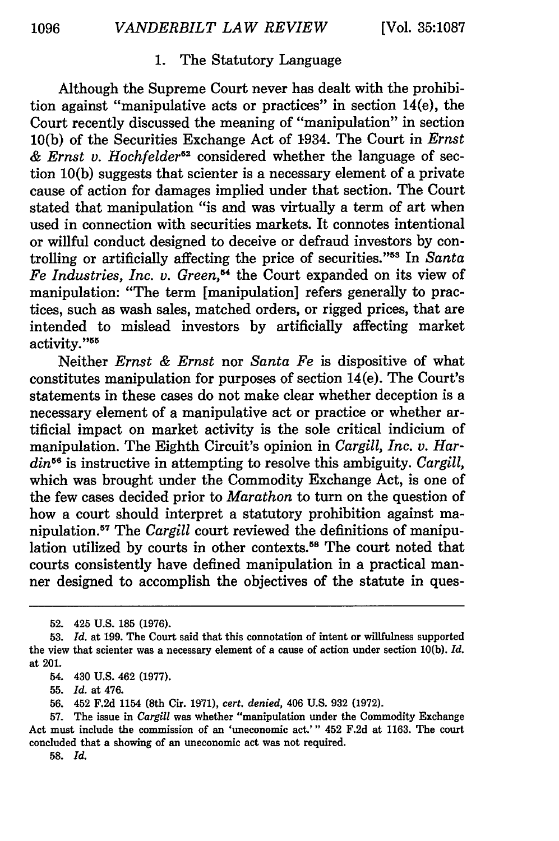# 1. The Statutory Language

Although the Supreme Court never has dealt with the prohibition against "manipulative acts or practices" in section 14(e), the Court recently discussed the meaning of "manipulation" in section 10(b) of the Securities Exchange Act of 1934. The Court in *Ernst & Ernst v. Hochfelder52* considered whether the language of section 10(b) suggests that scienter is a necessary element of a private cause of action for damages implied under that section. The Court stated that manipulation "is and was virtually a term of art when used in connection with securities markets. It connotes intentional or willful conduct designed to deceive or defraud investors by controlling or artificially affecting the price of securities."<sup>55</sup> In *Santa* Fe Industries, Inc. v. Green,<sup>64</sup> the Court expanded on its view of manipulation: "The term [manipulation] refers generally to practices, such as wash sales, matched orders, or rigged prices, that are intended to mislead investors by artificially affecting market activity."<sup>55</sup>

Neither *Ernst & Ernst* nor *Santa Fe* is dispositive of what constitutes manipulation for purposes of section 14(e). The Court's statements in these cases do not make clear whether deception is a necessary element of a manipulative act or practice or whether artificial impact on market activity is the sole critical indicium of manipulation. The Eighth Circuit's opinion in *Cargill, Inc. v. Hardin56* **is** instructive in attempting to resolve this ambiguity. *Cargill,* which was brought under the Commodity Exchange Act, is one of the few cases decided prior to *Marathon* to turn on the question of how a court should interpret a statutory prohibition against manipulation.<sup>57</sup> The *Cargill* court reviewed the definitions of manipulation utilized by courts in other contexts.<sup>58</sup> The court noted that courts consistently have defined manipulation in a practical manner designed to accomplish the objectives of the statute in ques-

55. *Id.* at 476.

<sup>52. 425</sup> U.S. 185 (1976).

<sup>53.</sup> *Id.* at 199. The Court said that this connotation of intent or willfulness supported the view that scienter was a necessary element of a cause of action under section 10(b). *Id.* at 201.

<sup>54. 430</sup> **U.S.** 462 **(1977).**

<sup>56. 452</sup> F.2d 1154 (8th Cir. 1971), *cert. denied,* 406 U.S. 932 (1972).

<sup>57.</sup> The issue in *Cargill* was whether "manipulation under the Commodity Exchange Act must include the commission of an 'uneconomic act.'" 452 F.2d at 1163. The court concluded that a showing of an uneconomic act was not required.

<sup>58.</sup> *Id.*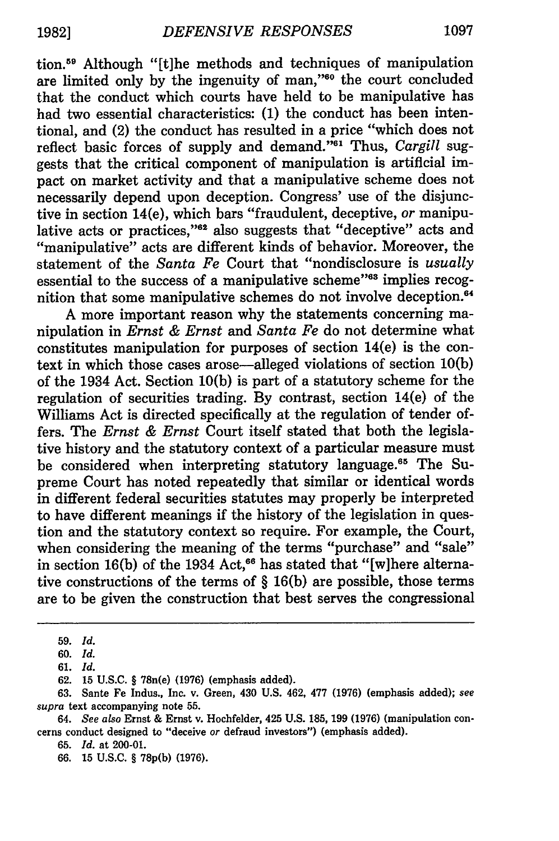tion.59 Although "[t]he methods and techniques of manipulation are limited only by the ingenuity of man,"<sup>60</sup> the court concluded that the conduct which courts have held to be manipulative has had two essential characteristics: (1) the conduct has been intentional, and (2) the conduct has resulted in a price "which does not reflect basic forces of supply and demand."<sup>61</sup> Thus, *Cargill* suggests that the critical component of manipulation is artificial impact on market activity and that a manipulative scheme does not necessarily depend upon deception. Congress' use of the disjunctive in section 14(e), which bars "fraudulent, deceptive, *or* manipulative acts or practices,"<sup>62</sup> also suggests that "deceptive" acts and "manipulative" acts are different kinds of behavior. Moreover, the statement of the *Santa Fe* Court that "nondisclosure is *usually* essential to the success of a manipulative scheme"63 implies recognition that some manipulative schemes do not involve deception.<sup>64</sup>

A more important reason why the statements concerning manipulation in *Ernst & Ernst and Santa Fe* do not determine what constitutes manipulation for purposes of section 14(e) is the context in which those cases arose-alleged violations of section 10(b) of the 1934 Act. Section 10(b) is part of a statutory scheme for the regulation of securities trading. By contrast, section 14(e) of the Williams Act is directed specifically at the regulation of tender offers. The *Ernst & Ernst* Court itself stated that both the legislative history and the statutory context of a particular measure must be considered when interpreting statutory language.<sup>65</sup> The Supreme Court has noted repeatedly that similar or identical words in different federal securities statutes may properly be interpreted to have different meanings if the history of the legislation in question and the statutory context so require. For example, the Court, when considering the meaning of the terms "purchase" and "sale" in section 16(b) of the 1934 Act,<sup>66</sup> has stated that "[w]here alternative constructions of the terms of § 16(b) are possible, those terms are to be given the construction that best serves the congressional

**<sup>59.</sup>** *Id.*

**<sup>60.</sup>** *Id.*

**<sup>61.</sup>** *Id.*

**<sup>62. 15</sup> U.S.C. §** 78n(e) **(1976)** (emphasis added).

**<sup>63.</sup>** Sante Fe Indus., Inc. v. Green, 430 **U.S.** 462, **477 (1976)** (emphasis added); *see supra* text accompanying note **55.**

<sup>64.</sup> *See also* Ernst **&** Ernst v. Hochfelder, 425 **U.S. 185, 199 (1976)** (manipulation concerns conduct designed to "deceive or defraud investors") (emphasis added).

**<sup>65.</sup>** *Id.* at 200-01.

**<sup>66. 15</sup> U.S.C.** § **78p(b) (1976).**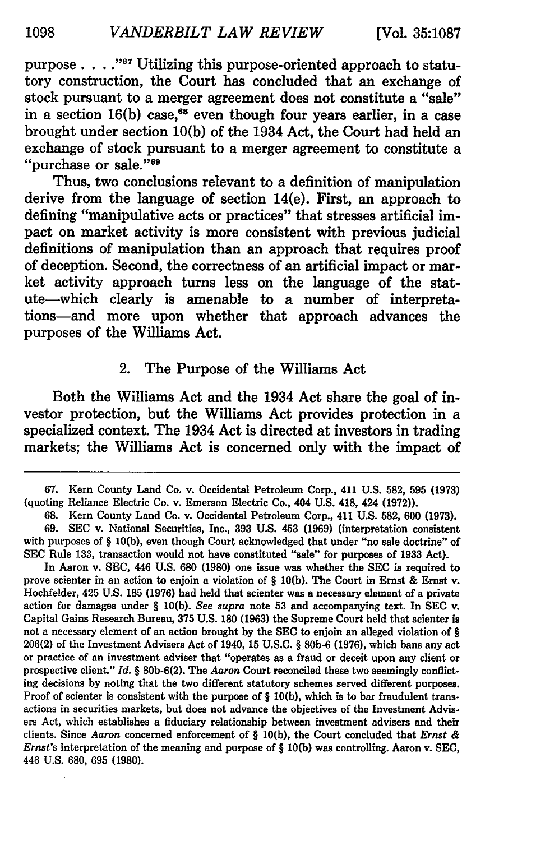purpose **. "67** Utilizing this purpose-oriented approach to statutory construction, the Court has concluded that an exchange of stock pursuant to a merger agreement does not constitute a "sale" in a section 16(b) case,<sup>68</sup> even though four years earlier, in a case brought under section **10(b)** of the 1934 Act, the Court had held an exchange of stock pursuant to a merger agreement to constitute a "purchase or sale."<sup>69</sup>

Thus, two conclusions relevant to a definition of manipulation derive from the language of section 14(e). First, an approach to defining "manipulative acts or practices" that stresses artificial impact on market activity is more consistent with previous judicial definitions of manipulation than an approach that requires proof of deception. Second, the correctness of an artificial impact or market activity approach turns less on the language of the statute-which clearly is amenable to a number of interpretations-and more upon whether that approach advances the purposes of the Williams Act.

### 2. The Purpose of the Williams Act

Both the Williams Act and the 1934 Act share the goal of investor protection, but the Williams Act provides protection in a specialized context. The 1934 Act is directed at investors in trading markets; the Williams Act is concerned only with the impact of

**<sup>67.</sup>** Kern County Land Co. v. Occidental Petroleum Corp., 411 **U.S. 582, 595 (1973)** (quoting Reliance Electric Co. v. Emerson Electric Co., 404 **U.S.** 418, 424 **(1972)).**

**<sup>68.</sup>** Kern County Land Co. v. Occidental Petroleum Corp., 411 **U.S. 582, 600 (1973). 69. SEC** v. National Securities, Inc., **393 U.S.** 453 **(1969)** (interpretation consistent with purposes of § **10(b),** even though Court acknowledged that under "no sale doctrine" of **SEC** Rule **133,** transaction would not have constituted "sale" for purposes of **1933** Act).

In Aaron v. **SEC,** 446 **U.S. 680 (1980)** one issue was whether the **SEC** is required to prove scienter in an action to enjoin a violation of § **10(b).** The Court in Ernst **&** Ernst v. Hochfelder, 425 **U.S. 185 (1976)** had held that scienter was a necessary element of a private action for damages under § **10(b).** *See supra* note **53** and accompanying text. In **SEC** v. Capital Gains Research Bureau, **375 U.S. 180 (1963)** the Supreme Court held that scienter is not a necessary element of an action brought **by** the **SEC** to enjoin an alleged violation of § 206(2) of the Investment Advisers Act of 1940, **15 U.S.C.** § **80b-6 (1976),** which bans any act or practice of an investment adviser that "operates as a fraud or deceit upon any client or prospective client." *Id.* § **80b-6(2).** The *Aaron* Court reconciled these two seemingly conflicting decisions **by** noting that the two different statutory schemes served different purposes. Proof of scienter is consistent with the purpose of § **10(b),** which is to bar fraudulent transactions in securities markets, but does not advance the objectives of the Investment Advisers Act, which establishes a fiduciary relationship between investment advisers and their clients. Since *Aaron* concerned enforcement of § **10(b),** the Court concluded that *Ernst & Ernst's* interpretation of the meaning and purpose of § **10(b)** was controlling. Aaron v. **SEC,** 446 **U.S. 680, 695 (1980).**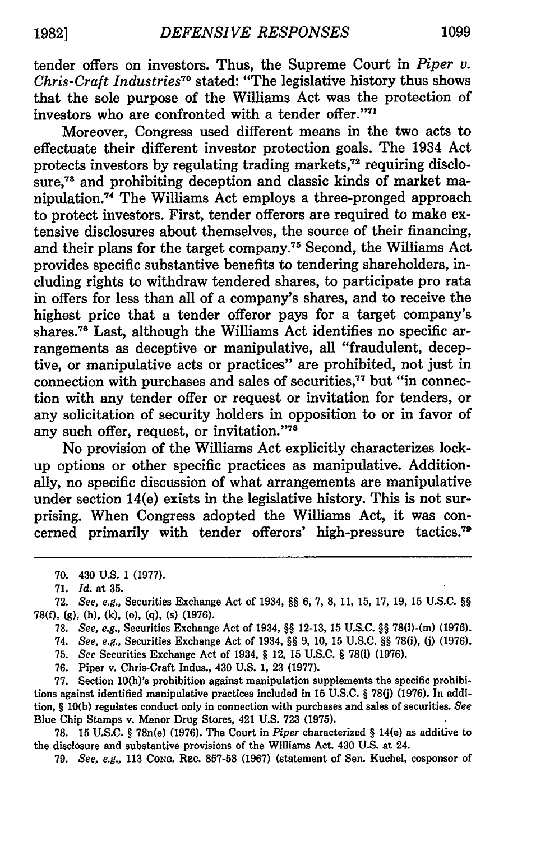tender offers on investors. Thus, the Supreme Court in *Piper v. Chris-Craft Industries70* stated: "The legislative history thus shows that the sole purpose of the Williams Act was the protection of investors who are confronted with a tender offer."<sup>71</sup>

Moreover, Congress used different means in the two acts to effectuate their different investor protection goals. The 1934 Act protects investors by regulating trading markets,<sup>72</sup> requiring disclosure.<sup>73</sup> and prohibiting deception and classic kinds of market manipulation **. <sup>7</sup>**The Williams Act employs a three-pronged approach to protect investors. First, tender offerors are required to make extensive disclosures about themselves, the source of their financing, and their plans for the target company.<sup>75</sup> Second, the Williams Act provides specific substantive benefits to tendering shareholders, including rights to withdraw tendered shares, to participate pro rata in offers for less than all of a company's shares, and to receive the highest price that a tender offeror pays for a target company's shares.<sup>76</sup> Last, although the Williams Act identifies no specific arrangements as deceptive or manipulative, all "fraudulent, deceptive, or manipulative acts or practices" are prohibited, not just in connection with purchases and sales of securities,<sup>77</sup> but "in connection with any tender offer or request or invitation for tenders, or any solicitation of security holders in opposition to or in favor of any such offer, request, or invitation."78

No provision of the Williams Act explicitly characterizes lockup options or other specific practices as manipulative. Additionally, no specific discussion of what arrangements are manipulative under section 14(e) exists in the legislative history. This is not surprising. When Congress adopted the Williams Act, it was concerned primarily with tender offerors' high-pressure tactics.79

- **75.** *See* Securities Exchange Act of 1934, § 12, **15 U.S.C.** § **78(1) (1976).**
- **76.** Piper v. Chris-Craft Indus., 430 **U.S. 1, 23 (1977).**

**77.** Section 10(b)'s prohibition against manipulation supplements the specific prohibitions against identified manipulative practices included in **15 U.S.C.** § **78(j) (1976).** In addition, § **10(b)** regulates conduct only in connection with purchases and sales of securities. *See* Blue Chip Stamps v. Manor Drug Stores, 421 **U.S. 723 (1975).**

**78. 15 U.S.C.** § 78n(e) **(1976).** The Court in *Piper* characterized *§* 14(e) as additive to the disclosure and substantive provisions of the Williams Act. 430 **U.S.** at 24.

**79.** *See, e.g.,* **113** CoNG. REc. **857-58 (1967)** (statement of Sen. Kuchel, cosponsor of

**<sup>70.</sup>** 430 **U.S. 1 (1977).**

**<sup>71.</sup>** *Id.* at **35.**

**<sup>72.</sup>** *See, e.g.,* Securities Exchange Act of 1934, *§9* **6, 7, 8, 11, 15, 17, 19, 15 U.S.C.** *§* **78(0, (g),** (h), **(k),** (o), **(q),** (s) **(1976).**

**<sup>73.</sup>** *See, e.g.,* Securities Exchange Act of 1934, *9§* **12-13, 15 U.S.C.** *§§* 78(l)-(m) **(1976).**

<sup>74.</sup> *See, e.g.,* Securities Exchange Act of 1934, §9 **9, 10, 15 U.S.C.** 99 78(i), **() (1976).**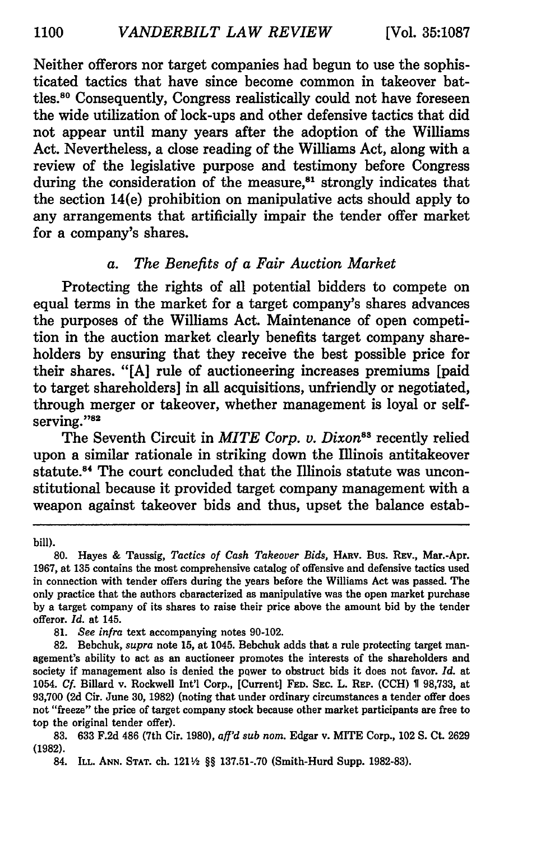Neither offerors nor target companies had begun to use the sophisticated tactics that have since become common in takeover battles.<sup>80</sup> Consequently, Congress realistically could not have foreseen the wide utilization of lock-ups and other defensive tactics that did not appear until many years after the adoption of the Williams Act. Nevertheless, a close reading of the Williams Act, along with a review of the legislative purpose and testimony before Congress during the consideration of the measure,<sup>81</sup> strongly indicates that the section 14(e) prohibition on manipulative acts should apply to any arrangements that artificially impair the tender offer market for a company's shares.

# *a. The Benefits of a Fair Auction Market*

Protecting the rights of all potential bidders to compete on equal terms in the market for a target company's shares advances the purposes of the Williams Act. Maintenance of open competition in the auction market clearly benefits target company shareholders by ensuring that they receive the best possible price for their shares. "[A] rule of auctioneering increases premiums [paid to target shareholders] in all acquisitions, unfriendly or negotiated, through merger or takeover, whether management is loyal or selfserving."82

The Seventh Circuit in *MITE Corp. v. Dixon*<sup>88</sup> recently relied upon a similar rationale in striking down the Illinois antitakeover statute.<sup>84</sup> The court concluded that the Illinois statute was unconstitutional because it provided target company management with a weapon against takeover bids and thus, upset the balance estab-

**81.** *See infra* text accompanying notes 90-102.

82. Bebchuk, *supra* note 15, at 1045. Bebchuk adds that a rule protecting target management's ability to act as an auctioneer promotes the interests of the shareholders and society if management also is denied the power to obstruct bids it does not favor. *Id.* at 1054. *Cf.* Billard v. Rockwell Int'l Corp., [Current] **FED. SEC.** L. REP. **(CCH) 1** 98,733, at 93,700 (2d Cir. June 30, **1982)** (noting that under ordinary circumstances a tender offer does not "freeze" the price of target company stock because other market participants are free to top the original tender offer).

bill).

**<sup>80.</sup>** Hayes & Taussig, *Tactics of Cash Takeover Bids,* HARv. Bus. REV., Mar.-Apr. 1967, at 135 contains the most comprehensive catalog of offensive and defensive tactics used in connection with tender offers during the years before the Williams Act was passed. The only practice that the authors characterized as manipulative was the open market purchase by a target company of its shares to raise their price above the amount bid by the tender offeror. *Id.* at 145.

<sup>83. 633</sup> F.2d 486 (7th Cir. 1980), *aff'd sub nom.* Edgar v. MITE Corp., 102 **S.** Ct. 2629 (1982).

<sup>84.</sup> **ILL. ANN. STAT.** ch. 1211/2 §§ 137.51-.70 (Smith-Hurd Supp. 1982-83).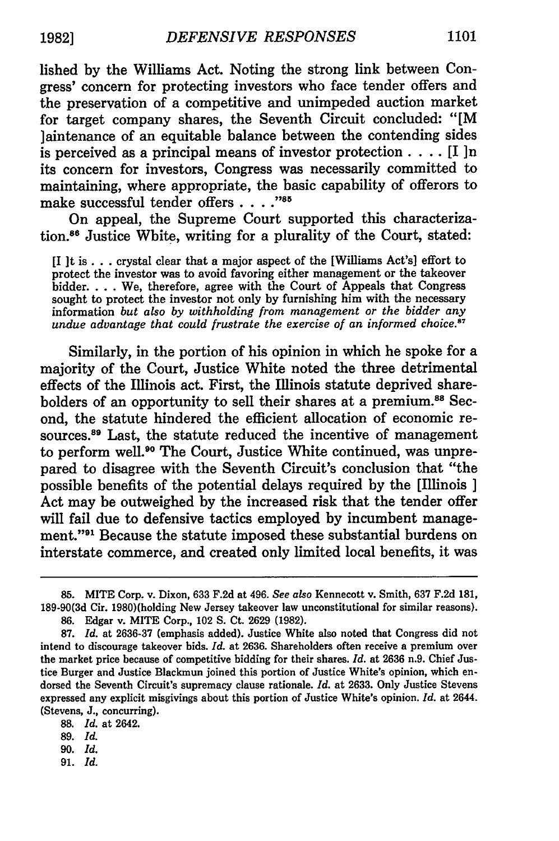lished by the Williams Act. Noting the strong link between Congress' concern for protecting investors who face tender offers and the preservation of a competitive and unimpeded auction market for target company shares, the Seventh Circuit concluded: "[M laintenance of an equitable balance between the contending sides is perceived as a principal means of investor protection. . **..** [I ]n its concern for investors, Congress was necessarily committed to maintaining, where appropriate, the basic capability of offerors to make successful tender offers . . . . "85

On appeal, the Supreme Court supported this characterization.88 Justice White, writing for a plurality of the Court, stated:

[I ]t is **...** crystal clear that a major aspect of the [Williams Act's] effort to protect the investor was to avoid favoring either management or the takeover bidder. . . . We, therefore, agree with the Court of Appeals that Congress sought to protect the investor not only by furnishing him with the necessary information *but also by withholding from management or the bidder any undue advantage that could frustrate the exercise of an informed choice.8 7*

Similarly, in the portion of his opinion in which he spoke for a majority of the Court, Justice White noted the three detrimental effects of the Illinois act. First, the Illinois statute deprived shareholders of an opportunity to sell their shares at a premium.<sup>88</sup> Second, the statute hindered the efficient allocation of economic resources.<sup>89</sup> Last, the statute reduced the incentive of management to perform well.<sup>90</sup> The Court, Justice White continued, was unprepared to disagree with the Seventh Circuit's conclusion that "the possible benefits of the potential delays required by the [Illinois ] Act may be outweighed by the increased risk that the tender offer will fail due to defensive tactics employed by incumbent management."91 Because the statute imposed these substantial burdens on interstate commerce, and created only limited local benefits, it was

**88.** *Id.* at 2642.

89. *Id.*

**90.** *Id.*

91. *Id.*

<sup>85.</sup> MITE Corp. v. Dixon, 633 F.2d at 496. *See also* Kennecott v. Smith, 637 F.2d 181, 189-90(3d Cir. 1980)(holding New Jersey takeover law unconstitutional for similar reasons).

<sup>86.</sup> Edgar v. MITE Corp., 102 **S. Ct.** 2629 (1982).

<sup>87.</sup> *Id.* at 2636-37 (emphasis added). Justice White also noted that Congress did not intend to discourage takeover bids. *Id.* at 2636. Shareholders often receive a premium over the market price because of competitive bidding for their shares. *Id.* at 2636 n.9. Chief Justice Burger and Justice Blackmun joined this portion of Justice White's opinion, which endorsed the Seventh Circuit's supremacy clause rationale. *Id.* at 2633. Only Justice Stevens expressed any explicit misgivings about this portion of Justice White's opinion. *Id.* at 2644. (Stevens, J., concurring).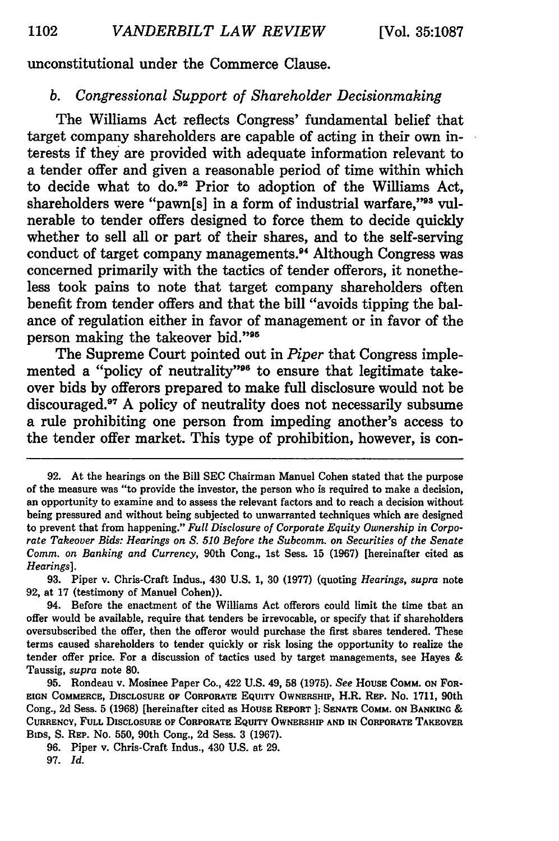#### unconstitutional under the Commerce Clause.

# *b. Congressional Support of Shareholder Decisionmaking*

The Williams Act reflects Congress' fundamental belief that target company shareholders are capable of acting in their own interests if they are provided with adequate information relevant to a tender offer and given a reasonable period of time within which to decide what to do.92 Prior to adoption of the Williams Act, shareholders were "pawn[s] in a form of industrial warfare."<sup>93</sup> vulnerable to tender offers designed to force them to decide quickly whether to sell all or part of their shares, and to the self-serving conduct of target company managements.<sup>94</sup> Although Congress was concerned primarily with the tactics of tender offerors, it nonetheless took pains to note that target company shareholders often benefit from tender offers and that the bill "avoids tipping the balance of regulation either in favor of management or in favor of the person making the takeover bid."<sup>95</sup>

The Supreme Court pointed out in *Piper* that Congress implemented a "policy of neutrality"<sup>96</sup> to ensure that legitimate takeover bids **by** offerors prepared to make full disclosure would not be discouraged.<sup>97</sup> A policy of neutrality does not necessarily subsume a rule prohibiting one person from impeding another's access to the tender offer market. This type of prohibition, however, is con-

**93.** Piper v. Chris-Craft Indus., 430 **U.S. 1, 30 (1977) (quoting** *Hearings, supra* note **92,** at **17** (testimony of Manuel Cohen)).

**<sup>92.</sup>** At the hearings on the Bill **SEC** Chairman Manuel Cohen stated that the purpose of the measure was "to provide the investor, the person who is required to make a decision, an opportunity to examine and to assess the relevant factors and to reach a decision without being pressured and without being subjected to unwarranted techniques which are designed to prevent that from happening." *Full Disclosure of Corporate Equity Ownership in Corporate Takeover Bids: Hearings on S. 510 Before the Subcomm. on Securities of the Senate Comm. on Banking and Currency,* 90th Cong., 1st Sess. **15 (1967)** [hereinafter cited as *Hearings].*

<sup>94.</sup> Before the enactment of the Williams Act offerors could limit the time that an offer would be available, require that tenders be irrevocable, or specify that if shareholders oversubscribed the offer, then the offeror would purchase the first shares tendered. These terms caused shareholders to tender quickly or risk losing the opportunity to realize the tender offer price. For a discussion of tactics used **by** target managements, see Hayes **&** Taussig, *supra* note **80.**

**<sup>95.</sup>** Rondeau v. Mosinee Paper Co., 422 **U.S.** 49, **58 (1975).** *See* HousE COMM. **ON** FOR-**EIGN COMMERCE, DISCLOSURE OF CORPORATE EQUITY OWNERSHIP,** H.R. **REP.** No. **1711,** 90th **Cong., 2d Sess. 5 (1968)** [hereinafter cited as **HousE REPORT ]; SENATE COMM. ON BANKING & CURRENCY, FULL DISCLOSURE OF CORPORATE EQUITY OWNERSHIP AND IN CORPORATE TAKEOVER BIDS, S. REP. No. 550,** 90th **Cong., 2d Sess. 3 (1967).**

**<sup>96.</sup> Piper v. Chris-Craft Indus.,** 430 **U.S. at 29. 97.** *Id.*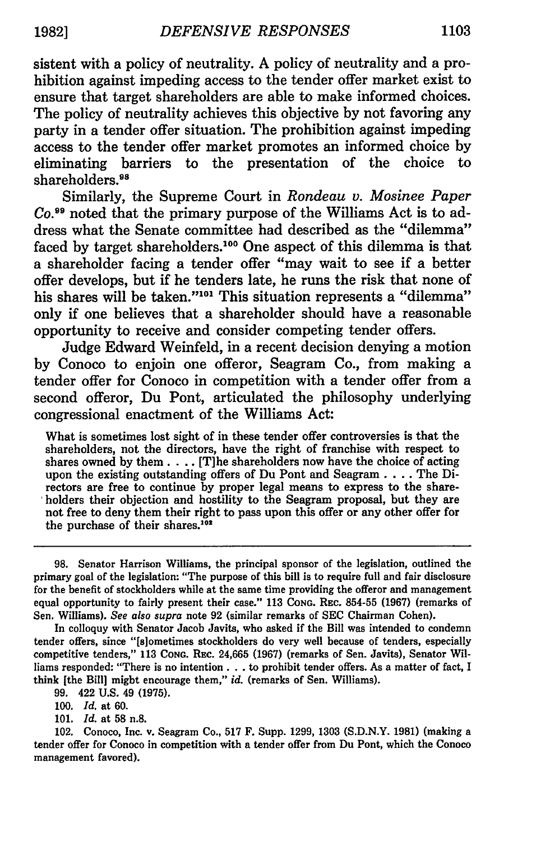sistent with a policy of neutrality. A policy of neutrality and a prohibition against impeding access to the tender offer market exist to ensure that target shareholders are able to make informed choices. The policy of neutrality achieves this objective by not favoring any party in a tender offer situation. The prohibition against impeding access to the tender offer market promotes an informed choice by eliminating barriers to the presentation of the choice to shareholders.<sup>98</sup>

Similarly, the Supreme Court in *Rondeau v. Mosinee Paper Co. <sup>9</sup>*noted that the primary purpose of the Williams Act is to address what the Senate committee had described as the "dilemma" faced by target shareholders.<sup>100</sup> One aspect of this dilemma is that a shareholder facing a tender offer "may wait to see if a better offer develops, but if he tenders late, he runs the risk that none of his shares will be taken."<sup>101</sup> This situation represents a "dilemma" only if one believes that a shareholder should have a reasonable opportunity to receive and consider competing tender offers.

Judge Edward Weinfeld, in a recent decision denying a motion by Conoco to enjoin one offeror, Seagram Co., from making a tender offer for Conoco in competition with a tender offer from a second offeror, Du Pont, articulated the philosophy underlying congressional enactment of the Williams Act:

What is sometimes lost sight of in these tender offer controversies is that the shareholders, not the directors, have the right of franchise with respect to shares owned **by** them. . **..** [T]he shareholders now have the choice of acting upon the existing outstanding offers of Du Pont and **Seagram** .... The Directors are free to continue **by** proper legal means to express to the shareholders their objection and hostility to the Seagram proposal, but they are not free to deny them their right to pass upon this offer or any other offer for the purchase of their shares.<sup>102</sup>

In colloquy with Senator Jacob Javits, who asked if the Bill was intended to condemn tender offers, since "[s]ometimes stockholders do very well because of tenders, especially competitive tenders," **113 CONG. REc. 24,665 (1967)** (remarks of Sen. Javits), Senator Williams responded: "There is no intention **...** to prohibit tender offers. As a matter of fact, I think [the Bill] might encourage them," *id.* (remarks of Sen. Williams).

**99.** 422 **U.S.** 49 **(1975).**

*100. Id.* at **60.**

**101.** *Id.* at **58 n.8.**

102. Conoco, Inc. v. Seagram Co., **517** F. Supp. **1299, 1303 (S.D.N.Y. 1981)** (making a tender offer for Conoco in competition with a tender offer from Du Pont, which the Conoco management favored).

**<sup>98.</sup>** Senator Harrison Williams, the principal sponsor of the legislation, outlined the primary goal of the legislation: "The purpose of this bill is to require full and fair disclosure for the benefit of stockholders while at the same time providing the offeror and management equal opportunity to fairly present their case." **113 CONG.** REc. **854-55 (1967)** (remarks of Sen. Williams). *See also supra* note **92** (similar remarks of **SEC** Chairman Cohen).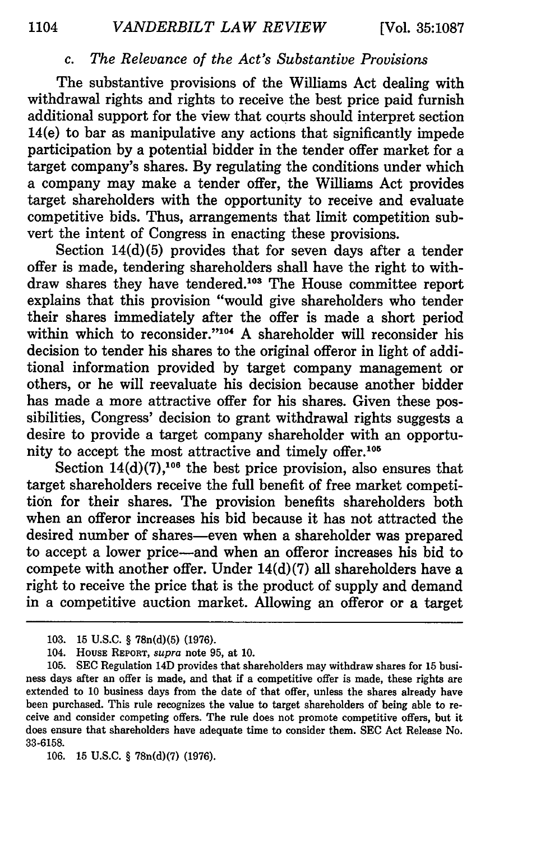# *c. The Relevance of the Act's Substantive Provisions*

The substantive provisions of the Williams Act dealing with withdrawal rights and rights to receive the best price paid furnish additional support for the view that courts should interpret section 14(e) to bar as manipulative any actions that significantly impede participation by a potential bidder in the tender offer market for a target company's shares. By regulating the conditions under which a company may make a tender offer, the Williams Act provides target shareholders with the opportunity to receive and evaluate competitive bids. Thus, arrangements that limit competition subvert the intent of Congress in enacting these provisions.

Section 14(d)(5) provides that for seven days after a tender offer is made, tendering shareholders shall have the right to withdraw shares they have tendered.<sup>103</sup> The House committee report explains that this provision "would give shareholders who tender their shares immediately after the offer is made a short period within which to reconsider."<sup>104</sup> A shareholder will reconsider his decision to tender his shares to the original offeror in light of additional information provided by target company management or others, or he will reevaluate his decision because another bidder has made a more attractive offer for his shares. Given these possibilities, Congress' decision to grant withdrawal rights suggests a desire to provide a target company shareholder with an opportunity to accept the most attractive and timely offer.<sup>105</sup>

Section  $14(d)(7)$ ,<sup>106</sup> the best price provision, also ensures that target shareholders receive the full benefit of free market competition for their shares. The provision benefits shareholders both when an offeror increases his bid because it has not attracted the desired number of shares-even when a shareholder was prepared to accept a lower price-and when an offeror increases his bid to compete with another offer. Under 14(d)(7) all shareholders have a right to receive the price that is the product of supply and demand in a competitive auction market. Allowing an offeror or a target

<sup>103. 15</sup> U.S.C. § 78n(d)(5) (1976).

<sup>104.</sup> HousE REPORT, *supra* note 95, at 10.

<sup>105.</sup> SEC Regulation 14D provides that shareholders may withdraw shares for 15 business days after an offer is made, and that if a competitive offer is made, these rights are extended to 10 business days from the date of that offer, unless the shares already have been purchased. This rule recognizes the value to target shareholders of being able to receive and consider competing offers. The rule does not promote competitive offers, but it does ensure that shareholders have adequate time to consider them. SEC Act Release No. 33-6158.

<sup>106.</sup> **15 U.S.C.** § 78n(d)(7) **(1976).**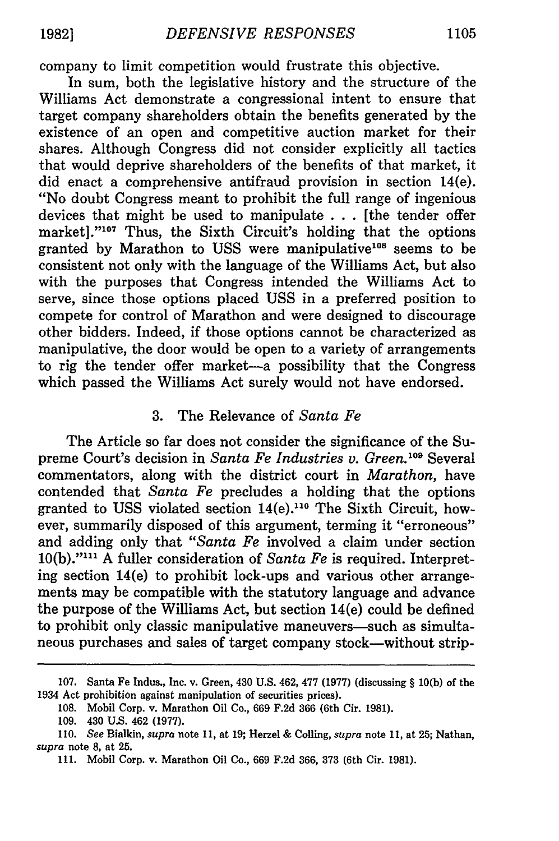company to limit competition would frustrate this objective.

In sum, both the legislative history and the structure of the Williams Act demonstrate a congressional intent to ensure that target company shareholders obtain the benefits generated by the existence of an open and competitive auction market for their shares. Although Congress did not consider explicitly all tactics that would deprive shareholders of the benefits of that market, it did enact a comprehensive antifraud provision in section 14(e). "No doubt Congress meant to prohibit the full range of ingenious devices that might be used to manipulate . . . [the tender offer market]."<sup>107</sup> Thus, the Sixth Circuit's holding that the options granted by Marathon to USS were manipulative<sup>108</sup> seems to be consistent not only with the language of the Williams Act, but also with the purposes that Congress intended the Williams Act to serve, since those options placed USS in a preferred position to compete for control of Marathon and were designed to discourage other bidders. Indeed, if those options cannot be characterized as manipulative, the door would be open to a variety of arrangements to rig the tender offer market-a possibility that the Congress which passed the Williams Act surely would not have endorsed.

## 3. The Relevance of *Santa Fe*

The Article so far does not consider the significance of the Supreme Court's decision in *Santa Fe Industries v. Green.109* Several commentators, along with the district court in *Marathon,* have contended that *Santa Fe* precludes a holding that the options granted to USS violated section 14(e).<sup>110</sup> The Sixth Circuit, however, summarily disposed of this argument, terming it "erroneous" and adding only that *"Santa Fe* involved a claim under section 10(b)."' A fuller consideration of *Santa Fe* is required. Interpreting section 14(e) to prohibit lock-ups and various other arrangements may be compatible with the statutory language and advance the purpose of the Williams Act, but section 14(e) could be defined to prohibit only classic manipulative maneuvers—such as simultaneous purchases and sales of target company stock-without strip-

<sup>107.</sup> Santa Fe Indus., Inc. v. Green, 430 U.S. 462, 477 (1977) (discussing § 10(b) of the 1934 Act prohibition against manipulation of securities prices).

<sup>108.</sup> Mobil Corp. v. Marathon Oil Co., 669 F.2d 366 (6th Cir. 1981).

<sup>109. 430</sup> U.S. 462 (1977).

<sup>110.</sup> *See* Bialkin, *supra* note 11, at 19; Herzel & Colling, *supra* note 11, at 25; Nathan, *supra* note 8, at 25.

<sup>111.</sup> Mobil Corp. v. Marathon Oil Co., 669 F.2d 366, 373 (6th Cir. 1981).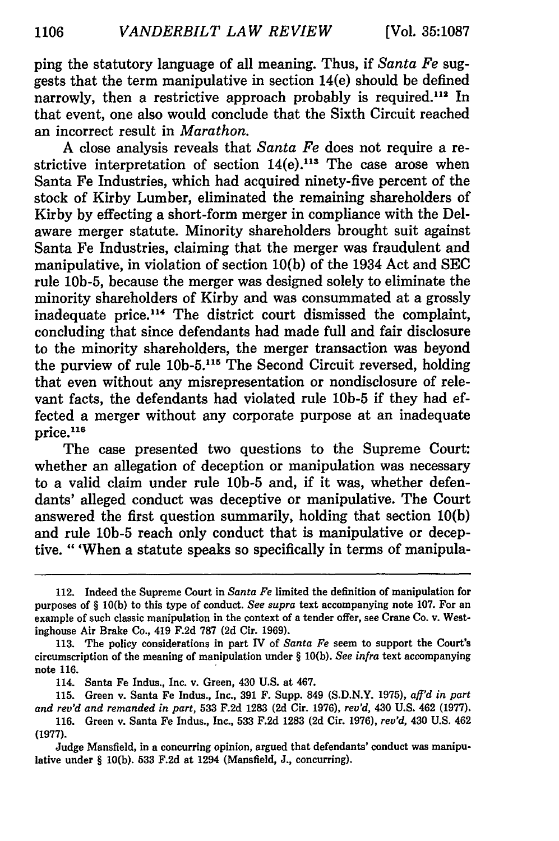ping the statutory language of all meaning. Thus, if *Santa Fe* suggests that the term manipulative in section 14(e) should be defined narrowly, then a restrictive approach probably is required.<sup>112</sup> In that event, one also would conclude that the Sixth Circuit reached an incorrect result in *Marathon.*

A close analysis reveals that *Santa Fe* does not require a restrictive interpretation of section  $14(e)$ .<sup>113</sup> The case arose when Santa Fe Industries, which had acquired ninety-five percent of the stock of Kirby Lumber, eliminated the remaining shareholders of Kirby by effecting a short-form merger in compliance with the Delaware merger statute. Minority shareholders brought suit against Santa Fe Industries, claiming that the merger was fraudulent and manipulative, in violation of section 10(b) of the 1934 Act and SEC rule 10b-5, because the merger was designed solely to eliminate the minority shareholders of Kirby and was consummated at a grossly inadequate price.114 The district court dismissed the complaint, concluding that since defendants had made full and fair disclosure to the minority shareholders, the merger transaction was beyond the purview of rule 10b-5.<sup>115</sup> The Second Circuit reversed, holding that even without any misrepresentation or nondisclosure of relevant facts, the defendants had violated rule **10b-5** if they had effected a merger without any corporate purpose at an inadequate  $\rm{price.}^{116}$ 

The case presented two questions to the Supreme Court: whether an allegation of deception or manipulation was necessary to a valid claim under rule **10b-5** and, if it was, whether defendants' alleged conduct was deceptive or manipulative. The Court answered the first question summarily, holding that section **10(b)** and rule **10b-5** reach only conduct that is manipulative or deceptive. "'When a statute speaks so specifically in terms of manipula-

<sup>112.</sup> Indeed the Supreme Court in *Santa Fe* limited the definition of manipulation for purposes of § **10(b)** to this type of conduct. *See supra* text accompanying note **107.** For an example of such classic manipulation in the context of a tender offer, see Crane Co. v. Westinghouse Air Brake Co., 419 **F.2d 787 (2d** Cir. **1969).**

**<sup>113.</sup>** The policy considerations in part IV of *Santa Fe* seem to support the Court's circumscription of the meaning of manipulation under § **10(b).** *See infra* text accompanying note **116.**

<sup>114.</sup> Santa Fe Indus., Inc. v. Green, 430 **U.S.** at 467.

**<sup>115.</sup>** Green v. Santa Fe Indus., Inc., **391** F. Supp. 849 **(S.D.N.Y. 1975),** *aff'd in part and rev'd and remanded in part,* **533 F.2d 1283 (2d** Cir. **1976),** *rev'd,* 430 **U.S.** 462 **(1977). 116.** Green v. Santa Fe Indus., Inc., **533 F.2d 1283 (2d** Cir. **1976),** *rev'd,* 430 **U.S.** 462

**<sup>(1977).</sup>**

Judge Mansfield, in a concurring opinion, argued that defendants' conduct was manipulative under § **10(b). 533 F.2d** at 1294 (Mansfield, **J.,** concurring).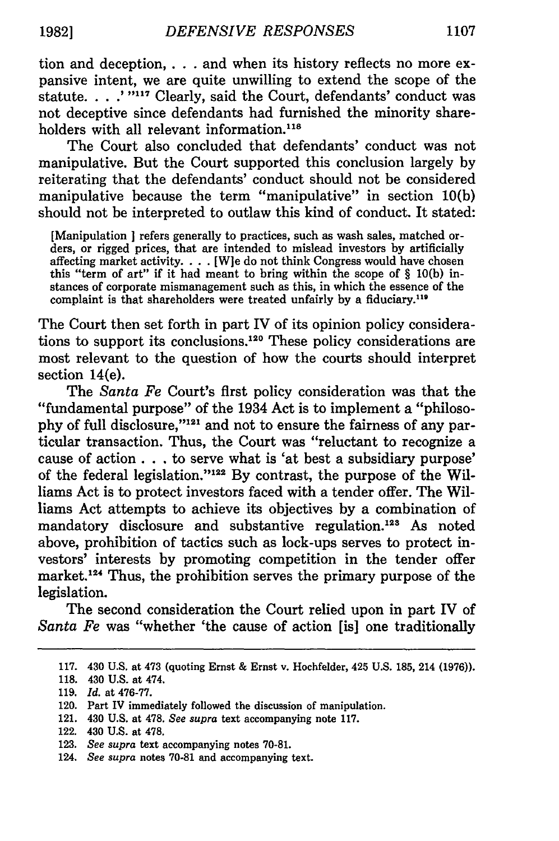tion and deception,. **. .** and when its history reflects no more expansive intent, we are quite unwilling to extend the scope of the statute. . . .<sup>'</sup> "<sup>117</sup> Clearly, said the Court, defendants' conduct was not deceptive since defendants had furnished the minority shareholders with all relevant information.<sup>118</sup>

The Court also concluded that defendants' conduct was not manipulative. But the Court supported this conclusion largely by reiterating that the defendants' conduct should not be considered manipulative because the term "manipulative" in section 10(b) should not be interpreted to outlaw this kind of conduct. It stated:

[Manipulation **I** refers generally to practices, such as wash sales, matched orders, or rigged prices, that are intended to mislead investors **by** artificially affecting market activity. . . . [W]e do not think Congress would have chosen this "term of art" if it had meant to bring within the scope of § **10(b)** instances of corporate mismanagement such as this, in which the essence of the complaint is that shareholders were treated unfairly **by** a fiduciary. <sup>119</sup>

The Court then set forth in part IV of its opinion policy considerations to support its conclusions. 120 These policy considerations are most relevant to the question of how the courts should interpret section 14(e).

The *Santa Fe* Court's first policy consideration was that the "fundamental purpose" of the 1934 Act is to implement a "philosophy of full disclosure,"<sup>121</sup> and not to ensure the fairness of any particular transaction. Thus, the Court was "reluctant to recognize a cause of action... to serve what is 'at best a subsidiary purpose" of the federal legislation."<sup>122</sup> By contrast, the purpose of the Williams Act is to protect investors faced with a tender offer. The Williams Act attempts to achieve its objectives **by** a combination of mandatory disclosure and substantive regulation.<sup>123</sup> As noted above, prohibition of tactics such as lock-ups serves to protect investors' interests **by** promoting competition in the tender offer market.<sup>124</sup> Thus, the prohibition serves the primary purpose of the legislation.

The second consideration the Court relied upon in part IV of *Santa Fe* was "whether 'the cause of action [is] one traditionally

- 121. 430 **U.S.** at **478.** *See supra* text accompanying note **117.**
- 122. 430 **U.S.** at **478.**

**<sup>117.</sup>** 430 **U.S.** at 473 (quoting Ernst **&** Ernst v. Hochfelder, 425 **U.S. 185,** 214 **(1976)).**

**<sup>118.</sup>** 430 **U.S.** at 474.

**<sup>119.</sup>** *Id.* at **476-77.**

<sup>120.</sup> Part IV immediately followed the discussion of manipulation.

**<sup>123.</sup>** *See supra* text accompanying notes **70-81.**

<sup>124.</sup> *See supra* notes **70-81** and accompanying text.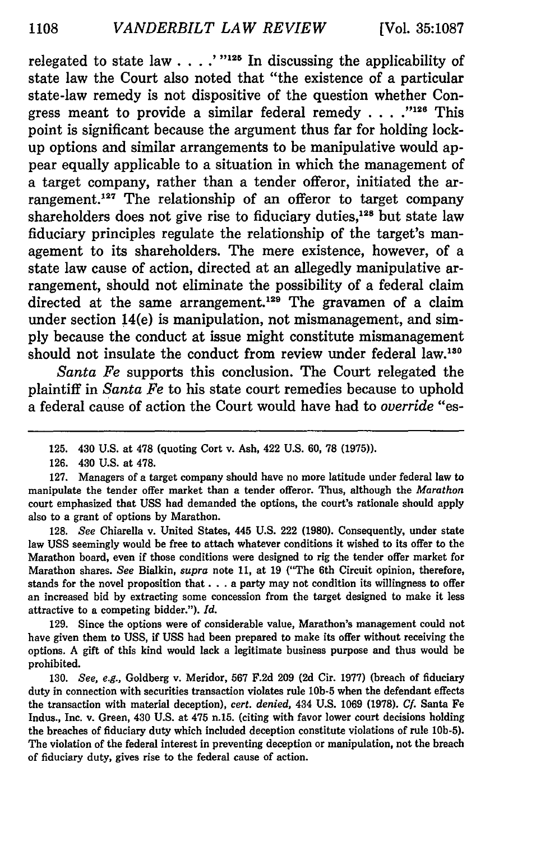relegated to state law  $\ldots$   $\ldots$   $\ldots$  <sup> $\ldots$ </sup> In discussing the applicability of state law the Court also noted that "the existence of a particular state-law remedy is not dispositive of the question whether Congress meant to provide a similar federal remedy . . . . "<sup>126</sup> This point is significant because the argument thus far for holding lockup options and similar arrangements to be manipulative would appear equally applicable to a situation in which the management of a target company, rather than a tender offeror, initiated the arrangement.<sup>127</sup> The relationship of an offeror to target company shareholders does not give rise to fiduciary duties,<sup>128</sup> but state law fiduciary principles regulate the relationship of the target's management to its shareholders. The mere existence, however, of a state law cause of action, directed at an allegedly manipulative arrangement, should not eliminate the possibility of a federal claim directed at the same arrangement.<sup>129</sup> The gravamen of a claim under section 14(e) is manipulation, not mismanagement, and sim**ply** because the conduct at issue might constitute mismanagement should not insulate the conduct from review under federal **law.130**

*Santa Fe* supports this conclusion. The Court relegated the plaintiff in *Santa Fe* to his state court remedies because to uphold a federal cause of action the Court would have had to *override "es-*

**128.** *See* Chiarella v. United States, 445 **U.S.** 222 **(1980).** Consequently, under state law **USS** seemingly would be free to attach whatever conditions it wished to its offer to the Marathon board, even if those conditions were designed to rig the tender offer market for Marathon shares. *See* Bialkin, *supra* note **11,** at **19** ("The 6th Circuit opinion, therefore, stands for the novel proposition that. **. .** a party may not condition its willingness to offer an increased bid **by** extracting some concession from the target designed to make it less attractive to a competing bidder."). *Id.*

**129.** Since the options were of considerable value, Marathon's management could not have given them to **USS,** if **USS** had been prepared to make its offer without receiving the options. **A** gift of this kind would lack a legitimate business purpose and thus would be prohibited.

**130.** *See, e.g.,* Goldberg v. Meridor, **567 F.2d 209 (2d** Cir. **1977)** (breach of fiduciary duty in connection with securities transaction violates rule **10b-5** when the defendant effects the transaction with material deception), *cert. denied,* 434 **U.S. 1069 (1978). Cf.** Santa Fe Indus., Inc. v. Green, 430 **U.S.** at 475 n.15. (citing with favor lower court decisions holding the breaches of fiduciary duty which included deception constitute violations of rule **10b-5).** The violation of the federal interest in preventing deception or manipulation, not the breach of fiduciary duty, gives rise to the federal cause of action.

<sup>125. 430</sup> **U.S.** at **478** (quoting Cort v. Ash, 422 **U.S. 60, 78 (1975)).**

**<sup>126.</sup>** 430 **U.S.** at **478.**

**<sup>127.</sup>** Managers of a target company should have no more latitude under federal law to manipulate the tender offer market than a tender offeror. Thus, although the *Marathon* court emphasized that **USS** had demanded the options, the court's rationale should apply also to a grant of options **by** Marathon.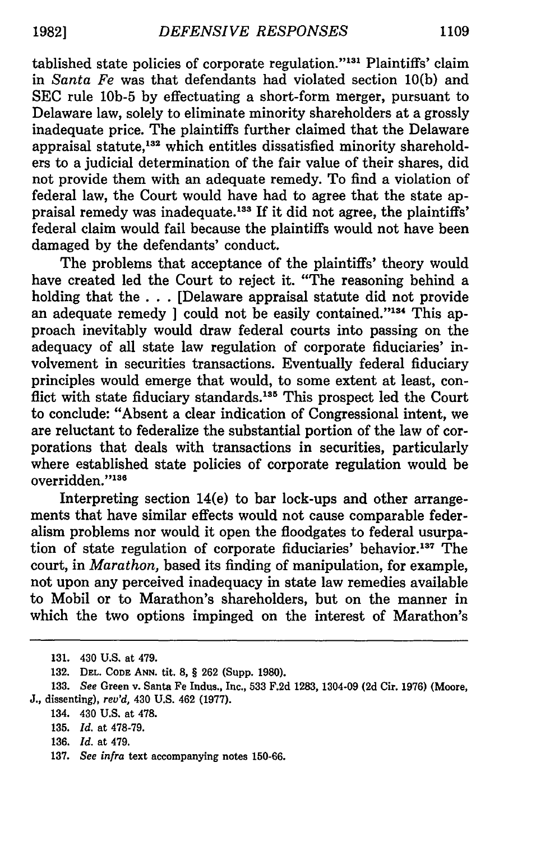tablished state policies of corporate regulation."<sup>131</sup> Plaintiffs' claim in *Santa Fe* was that defendants had violated section **10(b)** and **SEC** rule **10b-5 by** effectuating a short-form merger, pursuant to Delaware law, solely to eliminate minority shareholders at a grossly inadequate price. The plaintiffs further claimed that the Delaware appraisal statute,<sup>132</sup> which entitles dissatisfied minority shareholders to a judicial determination of the fair value of their shares, did not provide them with an adequate remedy. To find a violation of federal law, the Court would have had to agree that the state appraisal remedy was inadequate.<sup>133</sup> If it did not agree, the plaintiffs' federal claim would fail because the plaintiffs would not have been damaged **by** the defendants' conduct.

The problems that acceptance of the plaintiffs' theory would have created led the Court to reject it. "The reasoning behind a holding that the **. . .** [Delaware appraisal statute did not provide an adequate remedy *could not be easily contained.*"<sup>134</sup> This approach inevitably would draw federal courts into passing on the adequacy of all state law regulation of corporate fiduciaries' involvement in securities transactions. Eventually federal fiduciary principles would emerge that would, to some extent at least, conflict with state fiduciary standards.<sup>135</sup> This prospect led the Court to conclude: "Absent a clear indication of Congressional intent, we are reluctant to federalize the substantial portion of the law of corporations that deals with transactions in securities, particularly where established state policies of corporate regulation would be overridden."<sup>136</sup>

Interpreting section 14(e) to bar lock-ups and other arrangements that have similar effects would not cause comparable federalism problems nor would it open the floodgates to federal usurpation of state regulation of corporate fiduciaries' behavior.<sup>137</sup> The court, in *Marathon,* based its finding of manipulation, for example, not upon any perceived inadequacy in state law remedies available to Mobil or to Marathon's shareholders, but on the manner in which the two options impinged on the interest of Marathon's

136. *Id.* at 479.

<sup>131. 430</sup> U.S. at 479.

**<sup>132.</sup> DEL. CODE ANN. tit. 8,** § **262** (Supp. **1980).**

<sup>133.</sup> *See* Green v. Santa Fe Indus., Inc., 533 F.2d 1283, 1304-09 **(2d** Cir. **1976)** (Moore, *J.,* dissenting), *rev'd,* 430 U.S. 462 (1977).

<sup>134. 430</sup> U.S. at 478.

<sup>135.</sup> *Id.* at 478-79.

<sup>137.</sup> *See infra* text accompanying notes 150-66.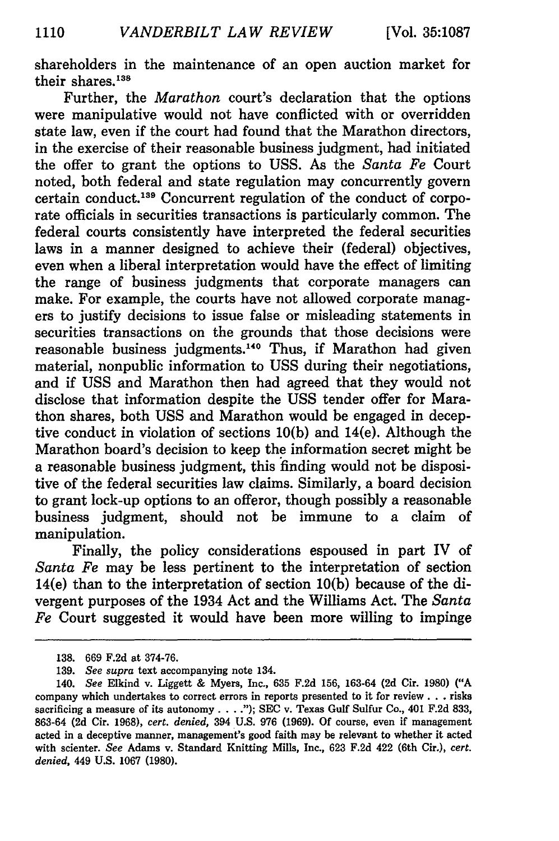shareholders in the maintenance of an open auction market for their shares.<sup>138</sup>

Further, the *Marathon* court's declaration that the options were manipulative would not have conflicted with or overridden state law, even if the court had found that the Marathon directors, in the exercise of their reasonable business judgment, had initiated the offer to grant the options to USS. As the *Santa Fe* Court noted, both federal and state regulation may concurrently govern certain conduct.<sup>139</sup> Concurrent regulation of the conduct of corporate officials in securities transactions is particularly common. The federal courts consistently have interpreted the federal securities laws in a manner designed to achieve their (federal) objectives, even when a liberal interpretation would have the effect of limiting the range of business judgments that corporate managers can make. For example, the courts have not allowed corporate managers to justify decisions to issue false or misleading statements in securities transactions on the grounds that those decisions were reasonable business judgments.<sup>140</sup> Thus, if Marathon had given material, nonpublic information to USS during their negotiations, and if USS and Marathon then had agreed that they would not disclose that information despite the USS tender offer for Marathon shares, both USS and Marathon would be engaged in deceptive conduct in violation of sections 10(b) and 14(e). Although the Marathon board's decision to keep the information secret might be a reasonable business judgment, this finding would not be dispositive of the federal securities law claims. Similarly, a board decision to grant lock-up options to an offeror, though possibly a reasonable business judgment, should not be immune to a claim of manipulation.

Finally, the policy considerations espoused in part IV of *Santa Fe* may be less pertinent to the interpretation of section 14(e) than to the interpretation of section **10(b)** because of the divergent purposes of the 1934 Act and the Williams Act. The *Santa Fe* Court suggested it would have been more willing to impinge

**<sup>138. 669</sup> F.2d** at **374-76.**

**<sup>139.</sup>** *See supra* text accompanying note 134.

<sup>140.</sup> *See* Elkind v. Liggett **&** Myers, Inc., **635 F.2d 156, 163-64 (2d** Cir. **1980) ("A** company which undertakes to correct errors in reports presented to it for review. **. .** risks sacrificing a measure of its autonomy. .. **."); SEC** v. Texas Gulf Sulfur Co., 401 **F.2d 833, 863-64 (2d** Cir. **1968),** *cert. denied,* 394 **U.S. 976 (1969). Of** course, even if management acted in a deceptive manner, management's good faith may be relevant to whether it acted with scienter. *See* Adams v. Standard Knitting Mills, Inc., **623 F.2d** 422 (6th Cir.), *cert. denied,* 449 **U.S. 1067 (1980).**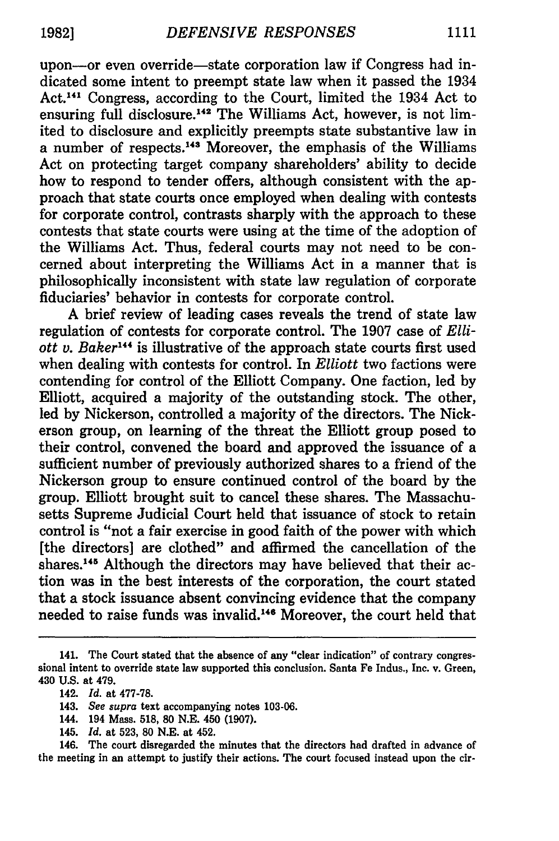upon-or even override-state corporation law if Congress had indicated some intent to preempt state law when it passed the 1934 Act.<sup>141</sup> Congress, according to the Court, limited the 1934 Act to ensuring full disclosure.<sup>142</sup> The Williams Act, however, is not limited to disclosure and explicitly preempts state substantive law in a number of respects. 143 Moreover, the emphasis of the Williams Act on protecting target company shareholders' ability to decide how to respond to tender offers, although consistent with the approach that state courts once employed when dealing with contests for corporate control, contrasts sharply with the approach to these contests that state courts were using at the time of the adoption of the Williams Act. Thus, federal courts may not need to be concerned about interpreting the Williams Act in a manner that is philosophically inconsistent with state law regulation of corporate fiduciaries' behavior in contests for corporate control.

A brief review of leading cases reveals the trend of state law regulation of contests for corporate control. The 1907 case of *Elliott v. Baker14 <sup>4</sup>*is illustrative of the approach state courts first used when dealing with contests for control. In *Elliott* two factions were contending for control of the Elliott Company. One faction, led by Elliott, acquired a majority of the outstanding stock. The other, led by Nickerson, controlled a majority of the directors. The Nickerson group, on learning of the threat the Elliott group posed to their control, convened the board and approved the issuance of a sufficient number of previously authorized shares to a friend of the Nickerson group to ensure continued control of the board by the group. Elliott brought suit to cancel these shares. The Massachusetts Supreme Judicial Court held that issuance of stock to retain control is "not a fair exercise in good faith of the power with which [the directors] are clothed" and affirmed the cancellation of the shares.<sup>145</sup> Although the directors may have believed that their action was in the best interests of the corporation, the court stated that a stock issuance absent convincing evidence that the company needed to raise funds was invalid.146 Moreover, the court held that

146. The court disregarded the minutes that the directors had drafted in advance of the meeting in an attempt to justify their actions. The court focused instead upon the cir-

<sup>141.</sup> The Court stated that the absence of any "clear indication" of contrary congressional intent to override state law supported this conclusion. Santa Fe Indus., Inc. v. Green, 430 U.S. at 479.

<sup>142.</sup> *Id.* at **477-78.**

<sup>143.</sup> *See supra* text accompanying notes 103-06.

<sup>144. 194</sup> Mass. 518, **80** N.E. 450 (1907).

<sup>145.</sup> *Id.* at 523, **80** N.E. at 452.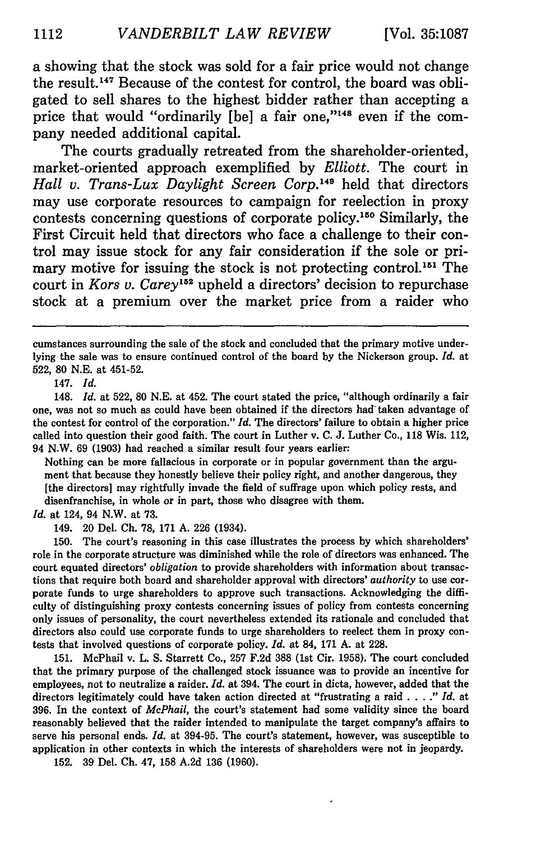a showing that the stock was sold for a fair price would not change the result.<sup>147</sup> Because of the contest for control, the board was obligated to sell shares to the highest bidder rather than accepting a price that would "ordinarily [be] a fair one,"148 even if the company needed additional capital.

The courts gradually retreated from the shareholder-oriented, market-oriented approach exemplified by *Elliott.* The court in *Hall v. Trans-Lux Daylight Screen Corp.19* held that directors may use corporate resources to campaign for reelection in proxy contests concerning questions of corporate policy. 150 Similarly, the First Circuit held that directors who face a challenge to their control may issue stock for any fair consideration if the sole or primary motive for issuing the stock is not protecting control.<sup>151</sup> The court in *Kors v. Carey'52* upheld a directors' decision to repurchase stock at a premium over the market price from a raider who

147. *Id.*

Nothing can be more fallacious in corporate or in popular government than the argument that because they honestly believe their policy right, and another dangerous, they [the directors] may rightfully invade the field of suffrage upon which policy rests, and disenfranchise, in whole or in part, those who disagree with them.

*Id.* at 124, 94 N.W. at 73.

149. 20 Del. Ch. 78, 171 A. 226 (1934).

150. The court's reasoning in this case illustrates the process by which shareholders' role in the corporate structure was diminished while the role of directors was enhanced. The court equated directors' *obligation* to provide shareholders with information about transactions that require both board and shareholder approval with directors' *authority* to use corporate funds to urge shareholders to approve such transactions. Acknowledging the difficulty of distinguishing proxy contests concerning issues of policy from contests concerning only issues of personality, the court nevertheless extended its rationale and concluded that directors also could use corporate funds to urge shareholders to reelect them in proxy contests that involved questions of corporate policy. *Id.* at 84, **171 A.** at **228.**

**151.** McPhail v. L. **S.** Starrett Co., **257 F.2d 388** (1st Cir. **1958).** The court concluded that the primary purpose of the challenged stock issuance was to provide an incentive for employees, not to neutralize a raider. *Id.* at 394. The court in dicta, however, added that the directors legitimately could have taken action directed at "frustrating a raid . **.** . **."** *Id.* at **396.** In the context of *McPhail,* the court's statement had some validity since the board reasonably believed that the raider intended to manipulate the target company's affairs to serve his personal ends. *Id.* at **394-95.** The court's statement, however, was susceptible to application in other contexts in which the interests of shareholders were not in jeopardy.

**152. 39** Del. **Ch.** 47, **158 A.2d 136 (1960).**

cumstances surrounding the sale of the stock and concluded that the primary motive underlying the sale was to ensure continued control of the board by the Nickerson group. *Id.* at 522, **80** N.E. at 451-52.

<sup>148.</sup> *Id.* at 522, 80 N.E. at 452. The court stated the price, "although ordinarily a fair one, was not so much as could have been obtained if the directors had taken advantage of the contest for control of the corporation." *Id.* The directors' failure to obtain a higher price called into question their good faith. The court in Luther v. **C.** J. Luther Co., 118 Wis. 112, 94 N.W. 69 (1903) had reached a similar result four years earlier: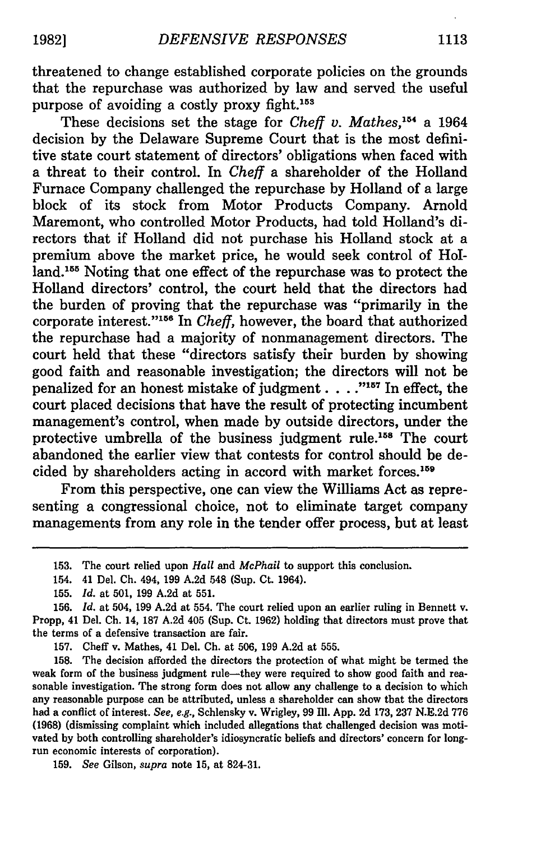threatened to change established corporate policies on the grounds that the repurchase was authorized by law and served the useful purpose of avoiding a costly proxy fight.<sup>153</sup>

These decisions set the stage for *Cheff v. Mathes, 15* a 1964 decision by the Delaware Supreme Court that is the most definitive state court statement of directors' obligations when faced with a threat to their control. In *Cheff* a shareholder of the Holland Furnace Company challenged the repurchase by Holland of a large block of its stock from Motor Products Company. Arnold Maremont, who controlled Motor Products, had told Holland's directors that if Holland did not purchase his Holland stock at a premium above the market price, he would seek control of Holland.155 Noting that one effect of the repurchase was to protect the Holland directors' control, the court held that the directors had the burden of proving that the repurchase was "primarily in the corporate interest."<sup>156</sup> In *Cheff*, however, the board that authorized the repurchase had a majority of nonmanagement directors. The court held that these "directors satisfy their burden by showing good faith and reasonable investigation; the directors will not be penalized for an honest mistake of judgment. . . **.- 7** In effect, the court placed decisions that have the result of protecting incumbent management's control, when made by outside directors, under the protective umbrella of the business judgment rule.<sup>158</sup> The court abandoned the earlier view that contests for control should be decided by shareholders acting in accord with market forces.<sup>159</sup>

From this perspective, one can view the Williams Act as representing a congressional choice, not to eliminate target company managements from any role in the tender offer process, but at least

159. *See* Gilson, *supra* note 15, at 824-31.

<sup>153.</sup> The court relied upon *Hall* and *McPhail* to support this conclusion.

<sup>154. 41</sup> Del. **Ch.** 494, 199 A.2d 548 (Sup. Ct. 1964).

<sup>155.</sup> *Id.* at 501, 199 A.2d at 551.

<sup>156.</sup> *Id.* at 504, 199 A.2d at 554. The court relied upon an earlier ruling in Bennett v. Propp, 41 Del. **Ch.** 14, 187 A.2d 405 (Sup. Ct. 1962) holding that directors must prove that the terms of a defensive transaction are fair.

<sup>157.</sup> Cheff v. Mathes, 41 Del. **Ch.** at **506, 199** A.2d at **555.**

<sup>158.</sup> The decision afforded the directors the protection of what might be termed the weak form of the business judgment rule-they were required to show good faith and reasonable investigation. The strong form does not allow any challenge to a decision to which any reasonable purpose can be attributed, unless a shareholder can show that the directors had a conflict of interest. *See,* e.g., Schlensky v. Wrigley, **99** Ill. App. **2d** 173, **237** N.E.2d **776 (1968)** (dismissing complaint which included allegations that challenged decision was motivated by both controlling shareholder's idiosyncratic beliefs and directors' concern for longrun economic interests of corporation).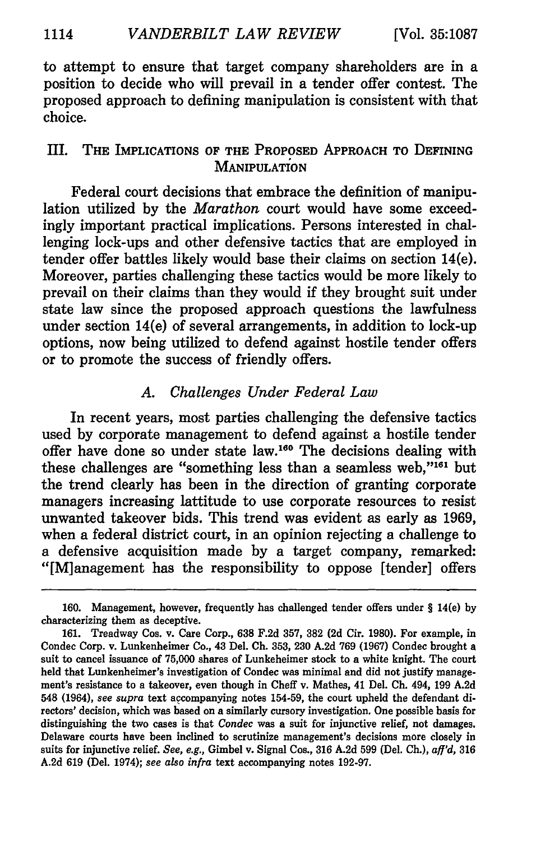to attempt to ensure that target company shareholders are in a position to decide who will prevail in a tender offer contest. The proposed approach to defining manipulation is consistent with that choice.

# III. THE IMPLICATIONS OF THE PROPOSED APPROACH TO **DEFINING MANIPULATION**

Federal court decisions that embrace the definition of manipulation utilized **by** the *Marathon* court would have some exceedingly important practical implications. Persons interested in challenging lock-ups and other defensive tactics that are employed in tender offer battles likely would base their claims on section 14(e). Moreover, parties challenging these tactics would be more likely to prevail on their claims than they would if they brought suit under state law since the proposed approach questions the lawfulness under section 14(e) of several arrangements, in addition to lock-up options, now being utilized to defend against hostile tender offers or to promote the success of friendly offers.

### *A. Challenges Under Federal Law*

In recent years, most parties challenging the defensive tactics used by corporate management to defend against a hostile tender offer have done so under state law.160 The decisions dealing with these challenges are "something less than a seamless web," $161$  but the trend clearly has been in the direction of granting corporate managers increasing lattitude to use corporate resources to resist unwanted takeover bids. This trend was evident as early as 1969, when a federal district court, in an opinion rejecting a challenge to a defensive acquisition made by a target company, remarked: "[M]anagement has the responsibility to oppose [tender] offers

<sup>160.</sup> Management, however, frequently has challenged tender offers under § 14(e) by characterizing them as deceptive.

**<sup>161.</sup>** Treadway Cos. v. Care Corp., **638 F.2d 357, 382 (2d** Cir. **1980).** For example, in Condec Corp. v. Lunkenheimer Co., 43 Del. **Ch. 353, 230 A.2d 769 (1967)** Condec brought a suit to cancel issuance of **75,000** shares of Lunkeheimer stock to a white knight. The court held that Lunkenheimer's investigation of Condec was minimal and did not justify management's resistance to a takeover, even though in Cheff v. Mathes, 41 Del. **Ch.** 494, **199 A.2d** 548 (1964), see supra text accompanying notes 154-59, the court upheld the defendant **di**rectors' decision, which was based on a similarly cursory investigation. One possible basis for distinguishing the two cases is that Condec was a suit for injunctive relief, not damages. Delaware courts have been inclined to scrutinize management's decisions more closely in suits for injunctive relief. See, e.g., Gimbel v. Signal Cos., **316 A.2d 599** (Del. **Ch.),** aff'd, **316 A.2d 619** (Del. 1974); *see also infra* text accompanying notes **192-97.**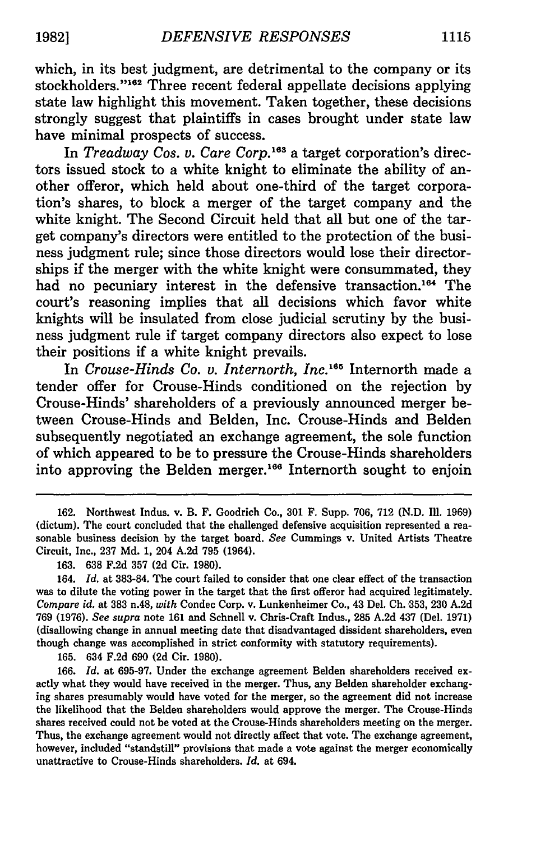which, in its best judgment, are detrimental to the company or its stockholders."<sup>162</sup> Three recent federal appellate decisions applying state law highlight this movement. Taken together, these decisions strongly suggest that plaintiffs in cases brought under state law have minimal prospects of success.

In *Treadway Cos. v. Care Corp.*<sup>163</sup> a target corporation's directors issued stock to a white knight to eliminate the ability of another offeror, which held about one-third of the target corporation's shares, to block a merger of the target company and the white knight. The Second Circuit held that all but one of the target company's directors were entitled to the protection of the business judgment rule; since those directors would lose their directorships if the merger with the white knight were consummated, they had no pecuniary interest in the defensive transaction.<sup>164</sup> The court's reasoning implies that all decisions which favor white knights will be insulated from close judicial scrutiny by the business judgment rule if target company directors also expect to lose their positions if a white knight prevails.

In *Crouse-Hinds Co. v. Internorth, Inc.*<sup>165</sup> Internorth made a tender offer for Crouse-Hinds conditioned on the rejection by Crouse-Hinds' shareholders of a previously announced merger between Crouse-Hinds and Belden, Inc. Crouse-Hinds and Belden subsequently negotiated an exchange agreement, the sole function of which appeared to be to pressure the Crouse-Hinds shareholders into approving the Belden merger.<sup>166</sup> Internorth sought to enjoin

**165.** 634 **F.2d 690 (2d** Cir. **1980).**

**166.** *Id.* at **695-97.** Under the exchange agreement Belden shareholders received exactly what they would have received in the merger. Thus, any Belden shareholder exchanging shares presumably would have voted for the merger, so the agreement did not increase the likelihood that the Belden shareholders would approve the merger. The Crouse-Hinds shares received could not be voted at the Crouse-Hinds shareholders meeting on the merger. Thus, the exchange agreement would not directly affect that vote. The exchange agreement, however, included "standstill" provisions that made a vote against the merger economically unattractive to Crouse-Hinds shareholders. *Id.* at 694.

<sup>162.</sup> Northwest Indus. v. B. F. Goodrich Co., 301 F. Supp. 706, 712 (N.D. Il1. 1969) (dictum). The court concluded that the challenged defensive acquisition represented a reasonable business decision **by** the target board. *See* Cummings v. United Artists Theatre Circuit, Inc., **237 Md. 1,** 204 **A.2d 795** (1964).

**<sup>163. 638</sup> F.2d 357 (2d** Cir. **1980).**

<sup>164.</sup> *Id.* at **383-84.** The court failed to consider that one clear effect of the transaction was to dilute the voting power in the target that the first offeror had acquired legitimately. *Compare id.* at **383** n.48, *with* Condec Corp. v. Lunkenheimer Co., 43 Del. **Ch. -353, 230 A.2d 769 (1976).** *See supra* note **161** and Schnell v. Chris-Craft Indus., **285 A.2d** 437 (Del. **1971)** (disallowing change in annual meeting date that disadvantaged dissident shareholders, even though change was accomplished in strict conformity with statutory requirements).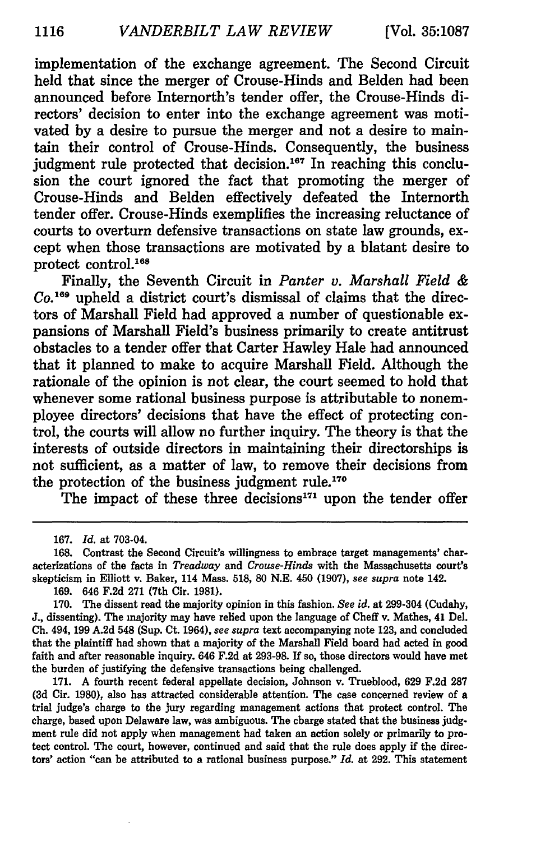implementation of the exchange agreement. The Second Circuit held that since the merger of Crouse-Hinds and Belden had been announced before Internorth's tender offer, the Crouse-Hinds directors' decision to enter into the exchange agreement was motivated by a desire to pursue the merger and not a desire to maintain their control of Crouse-Hinds. Consequently, the business judgment rule protected that decision.<sup>167</sup> In reaching this conclusion the court ignored the fact that promoting the merger of Crouse-Hinds and Belden effectively defeated the Internorth tender offer. Crouse-Hinds exemplifies the increasing reluctance of courts to overturn defensive transactions on state law grounds, except when those transactions are motivated by a blatant desire to protect control.168

Finally, the Seventh Circuit in *Panter v. Marshall Field & Co. <sup>169</sup>*upheld a district court's dismissal of claims that the directors of Marshall Field had approved a number of questionable expansions of Marshall Field's business primarily to create antitrust obstacles to a tender offer that Carter Hawley Hale had announced that it planned to make to acquire Marshall Field. Although the rationale of the opinion is not clear, the court seemed to hold that whenever some rational business purpose is attributable to nonemployee directors' decisions that have the effect of protecting control, the courts will allow no further inquiry. The theory is that the interests of outside directors in maintaining their directorships is not sufficient, as a matter of law, to remove their decisions from the protection of the business judgment rule.<sup>170</sup>

The impact of these three decisions $171$  upon the tender offer

**169.** 646 **F.2d 271** (7th Cir. **1981).**

**171. A** fourth recent federal appellate decision, Johnson v. Trueblood, **629 F.2d 287 (3d** Cir. 1980), also has attracted considerable attention. The case concerned review of a trial judge's charge to the jury regarding management actions that protect control. The charge, based upon Delaware law, was ambiguous. The charge stated that the business **judg**ment rule did not apply when management had taken an action solely or primarily to protect control. The court, however, continued and said that the rule does apply if the directors' action "can be attributed to a rational business purpose." *Id.* at **292.** This statement

**<sup>167.</sup>** *Id.* at 703-04.

**<sup>168.</sup>** Contrast the Second Circuit's willingness to embrace target managements' characterizations of the facts in *Treadway and Crouse-Hinds* with the Massachusetts court's skepticism in Elliott v. Baker, 114 Mass. **518, 80 N.E.** 450 **(1907),** *see supra* note 142.

**<sup>170.</sup>** The dissent read the majority opinion in this fashion. *See id.* at 299-304 (Cudahy, **J.,** dissenting). The majority may have relied upon the language of Cheff v. Mathes, 41 Del. **Ch.** 494, **199 A.2d** 548 (Sup. Ct. 1964), *see supra* text accompanying note **123,** and concluded that the plaintiff had shown that a majority of the Marshall Field board had acted in good faith and after reasonable inquiry. 646 **F.2d** at **293-98.** If so, those directors would have met the burden of justifying the defensive transactions being challenged.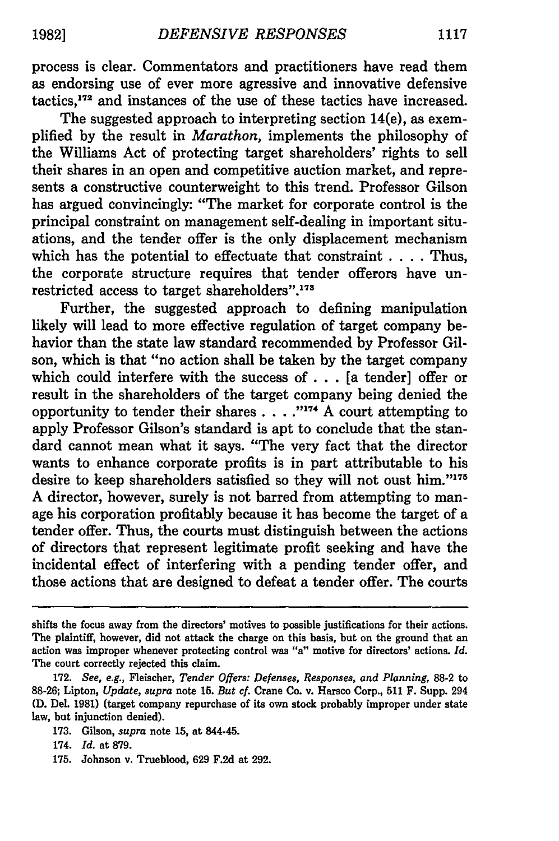process is clear. Commentators and practitioners have read them as endorsing use of ever more agressive and innovative defensive tactics,<sup>172</sup> and instances of the use of these tactics have increased.

The suggested approach to interpreting section 14(e), as exemplified by the result in *Marathon,* implements the philosophy of the Williams Act of protecting target shareholders' rights to sell their shares in an open and competitive auction market, and represents a constructive counterweight to this trend. Professor Gilson has argued convincingly: "The market for corporate control is the principal constraint on management self-dealing in important situations, and the tender offer is the only displacement mechanism which has the potential to effectuate that constraint . **. .** . Thus, the corporate structure requires that tender offerors have unrestricted access to target shareholders".<sup>173</sup>

Further, the suggested approach to defining manipulation likely will lead to more effective regulation of target company behavior than the state law standard recommended by Professor Gilson, which is that "no action shall be taken by the target company which could interfere with the success of  $\ldots$  [a tender] offer or result in the shareholders of the target company being denied the opportunity to tender their shares . . . . "<sup>174</sup> A court attempting to apply Professor Gilson's standard is apt to conclude that the standard cannot mean what it says. "The very fact that the director wants to enhance corporate profits is in part attributable to his desire to keep shareholders satisfied so they will not oust him."175 A director, however, surely is not barred from attempting to manage his corporation profitably because it has become the target of a tender offer. Thus, the courts must distinguish between the actions of directors that represent legitimate profit seeking and have the incidental effect of interfering with a pending tender offer, and those actions that are designed to defeat a tender offer. The courts

173. Gilson, *supra* note **15,** at 844-45.

175. Johnson v. Trueblood, 629 F.2d at 292.

shifts the focus away from the directors' motives to possible justifications for their actions. The plaintiff, however, did not attack the charge on this basis, but on the ground that an action was improper whenever protecting control was *"a"* motive for directors' actions. *Id.* The court correctly rejected this claim.

**<sup>172.</sup>** *See, e.g.,* Fleischer, *Tender Offers: Defenses, Responses, and Planning,* **88-2** to 88-26; Lipton, *Update, supra* note 15. *But cf.* Crane Co. v. Harsco Corp., **511** F. Supp. 294 **(D.** Del. 1981) (target company repurchase of its own stock probably improper under state law, but injunction denied).

<sup>174.</sup> *Id.* at 879.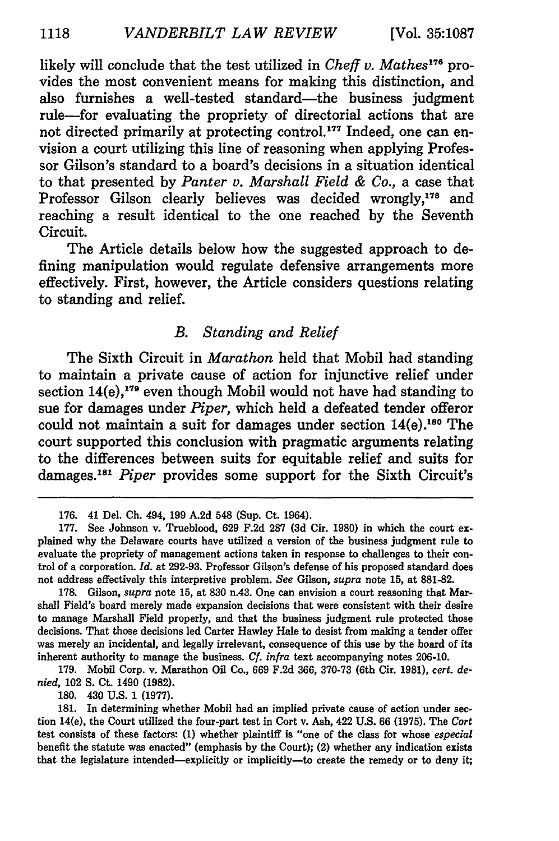likely will conclude that the test utilized in *Cheff v. Mathes*<sup>176</sup> provides the most convenient means for making this distinction, and also furnishes a well-tested standard—the business judgment rule-for evaluating the propriety of directorial actions that are not directed primarily at protecting control.<sup>177</sup> Indeed, one can envision a court utilizing this line of reasoning when applying Professor Gilson's standard to a board's decisions in a situation identical to that presented **by** *Panter v. Marshall Field & Co.,* a case that Professor Gilson clearly believes was decided wrongly,<sup>178</sup> and reaching a result identical to the one reached **by** the Seventh Circuit.

The Article details below how the suggested approach to defining manipulation would regulate defensive arrangements more effectively. First, however, the Article considers questions relating to standing and relief.

#### *B. Standing and Relief*

The Sixth Circuit in *Marathon* held that Mobil had standing to maintain a private cause of action for injunctive relief under section  $14(e)$ ,<sup>179</sup> even though Mobil would not have had standing to sue for damages under *Piper,* which held a defeated tender offeror could not maintain a suit for damages under section  $14(e)$ .<sup>180</sup> The court supported this conclusion with pragmatic arguments relating to the differences between suits for equitable relief and suits for damages. <sup>81</sup>*Piper* provides some support for the Sixth Circuit's

**178.** Gilson, *supra* note **15,** at **830** n.43. One can envision a court reasoning that Marshall Field's board merely made expansion decisions that were consistent with their desire to manage Marshall Field properly, and that the business judgment rule protected those decisions. That those decisions led Carter Hawley Hale to desist from making a tender offer was merely an incidental, and legally irrelevant, consequence of this use **by** the board of its inherent authority to manage the business. *Cf. infra* text accompanying notes **206-10.**

**179.** Mobil Corp. v. Marathon Oil Co., **669 F.2d 366, 370-73** (6th Cir. **1981),** *cert. denied,* 102 **S.** Ct. 1490 **(1982).**

**180.** 430 **U.S.** 1 **(1977).**

**181.** In determining whether Mobil had an implied private cause of action under section 14(e), the Court utilized the four-part test in Cort v. Ash, 422 **U.S. 66 (1975).** The *Cort* test consists of these factors: **(1)** whether plaintiff is "one of the class for whose *especial* benefit the statute was enacted" (emphasis **by** the Court); (2) whether any indication exists that the legislature intended-explicitly or implicitly-to create the remedy or to deny it;

**<sup>176.</sup>** 41 Del. **Ch.** 494, **199 A.2d** 548 (Sup. Ct. 1964).

**<sup>177.</sup>** See Johnson v. Trueblood, **629 F.2d 287 (3d** Cir. **1980)** in which the court explained why the Delaware courts have utilized a version of the business judgment rule to evaluate the propriety of management actions taken in response to challenges to their control of a corporation. *Id.* at **292-93.** Professor Gilson's defense of his proposed standard does not address effectively this interpretive problem. *See* Gilson, *supra* note **15,** at **881-82.**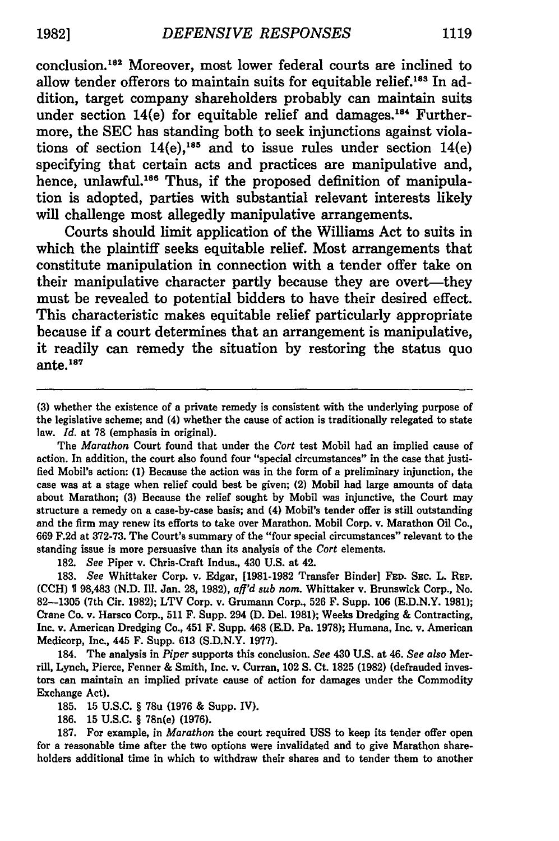conclusion.182 Moreover, most lower federal courts are inclined to allow tender offerors to maintain suits for equitable relief.<sup>183</sup> In addition, target company shareholders probably can maintain suits under section  $14(e)$  for equitable relief and damages.<sup>184</sup> Furthermore, the **SEC** has standing both to seek injunctions against violations of section  $14(e)$ ,<sup>185</sup> and to issue rules under section  $14(e)$ specifying that certain acts and practices are manipulative and, hence, unlawful.<sup>186</sup> Thus, if the proposed definition of manipulation is adopted, parties with substantial relevant interests likely will challenge most allegedly manipulative arrangements.

Courts should limit application of the Williams Act to suits in which the plaintiff seeks equitable relief. Most arrangements that constitute manipulation in connection with a tender offer take on their manipulative character partly because they are overt-they must be revealed to potential bidders to have their desired effect. This characteristic makes equitable relief particularly appropriate because if a court determines that an arrangement is manipulative, it readily can remedy the situation **by** restoring the status quo ante. $187$ 

The *Marathon* Court found that under the *Cart* test Mobil had an implied cause of action. In addition, the court also found four "special circumstances" in the case that justified Mobil's action: **(1)** Because the action was in the form of a preliminary injunction, the case was at a stage when relief could best be given; (2) Mobil had large amounts of data about Marathon; **(3)** Because the relief sought by Mobil was injunctive, the Court may structure a remedy on a case-by-case basis; and (4) Mobil's tender offer is still outstanding and the firm may renew its efforts to take over Marathon. Mobil Corp. v. Marathon Oil Co., 669 F.2d at 372-73. The Court's summary of the "four special circumstances" relevant to the standing issue is more persuasive than its analysis of the *Cart* elements.

**182.** *See* Piper v. Chris-Craft Indus., 430 **U.S.** at 42.

**183.** *See* Whittaker Corp. v. Edgar, **[1981-1982** Transfer Binder] **FED. SEc.** L. **REP. (CCH) 1 98,483 (N.D. Ill.** Jan. **28, 1982),** *aff'd sub noma.* Whittaker v. Brunswick Corp., No. **82-1305** (7th Cir. **1982);** LTV Corp. v. Grumann Corp., **526** F. Supp. **106 (E.D.N.Y. 1981);** Crane Co. v. Harsco Corp., **511** F. Supp. 294 **(D.** Del. **1981);** Weeks Dredging **&** Contracting, Inc. v. American Dredging Co., 451 F. Supp. 468 **(E.D.** Pa. **1978);** Humana, Inc. v. American Medicorp, Inc., 445 F. Supp. **613 (S.D.N.Y. 1977).**

184. The analysis in *Piper* supports this conclusion. *See* 430 **U.S.** at 46. *See also* Merrill, Lynch, Pierce, Fenner **&** Smith, Inc. v. Curran, 102 **S.** Ct. **1825 (1982)** (defrauded investors can maintain an implied private cause of action for damages under the Commodity Exchange Act).

**185. 15 U.S.C.** § 78u **(1976 &** Supp. IV).

**186. 15 U.S.C.** § 78n(e) **(1976).**

**187.** For example, in *Marathon* the court required **USS** to keep its tender offer open for a reasonable time after the two options were invalidated and to give Marathon shareholders additional time in which to withdraw their shares and to tender them to another

<sup>(3)</sup> whether the existence of a private remedy is consistent with the underlying purpose of the legislative scheme; and (4) whether the cause of action is traditionally relegated to state law. *Id.* at 78 (emphasis in original).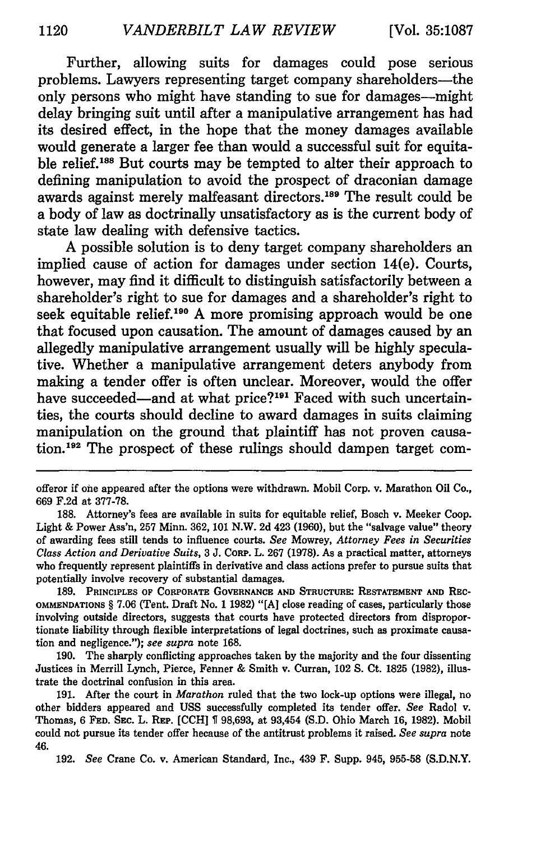Further, allowing suits for damages could pose serious problems. Lawyers representing target company shareholders-the only persons who might have standing to sue for damages-might delay bringing suit until after a manipulative arrangement has had its desired effect, in the hope that the money damages available would generate a larger fee than would a successful suit for equitable relief.188 But courts may be tempted to alter their approach to defining manipulation to avoid the prospect of draconian damage awards against merely malfeasant directors. 189 The result could be a body of law as doctrinally unsatisfactory as is the current body of state law dealing with defensive tactics.

**A** possible solution is to deny target company shareholders an implied cause of action for damages under section 14(e). Courts, however, may find it difficult to distinguish satisfactorily between a shareholder's right to sue for damages and a shareholder's right to seek equitable relief.<sup>190</sup> A more promising approach would be one that focused upon causation. The amount of damages caused **by** an allegedly manipulative arrangement usually will be **highly** speculative. Whether a manipulative arrangement deters anybody from making a tender offer is often unclear. Moreover, would the offer have succeeded—and at what price?<sup>191</sup> Faced with such uncertainties, the courts should decline to award damages in suits claiming manipulation on the ground that plaintiff has not proven causation.<sup>192</sup> The prospect of these rulings should dampen target com-

**189. PRINCIPLES OF** CORPORATE **GOVERNANCE AND** STRucTURE: **RESTATEMENT AND REC-OMMENDATIONS** § **7.06** (Tent. Draft No. 1 **1982)** "[A] close reading of cases, particularly those involving outside directors, suggests that courts have protected directors from disproportionate liability through flexible interpretations of legal doctrines, such as proximate causation and negligence."); *see supra* **note 168.**

**190.** The sharply conflicting approaches taken **by** the majority and the four dissenting Justices in Merrill Lynch, Pierce, Fenner & Smith v. Curran, 102 **S.** Ct. **1825 (1982),** illustrate the doctrinal confusion in this area.

191. After the court in *Marathon* ruled that the two lock-up **options** were illegal, no other bidders appeared and **USS** successfully completed its tender offer. *See* Radol v. Thomas, **6 FED.** SEC. L. REP. **[CCH] 98,693,** at 93,454 **(S.D.** Ohio March **16, 1982).** Mobil could not pursue its tender offer because of the antitrust problems it raised. *See supra* note 46.

**192.** *See* Crane Co. v. American Standard, Inc., 439 F. Supp. 945, **955-58** (S.D.N.Y.

offeror if one appeared after the options were withdrawn. Mobil Corp. v. Marathon Oil Co., **669 F.2d** at **377-78.**

**<sup>188.</sup>** Attorney's fees are available in suits for equitable relief, Bosch v. Meeker Coop. Light **&** Power Ass'n, **257** Minn. **362, 101** N.W. **2d** 423 **(1960),** but the "salvage value" theory of awarding fees still tends to influence courts. *See* Mowrey, *Attorney Fees in Securities Class Action and Derivative Suits,* **3 J. CORP.** L. **267 (1978).** As a practical matter, attorneys who frequently represent plaintiffs in derivative and class actions prefer to pursue suits that potentially involve recovery of substantial damages.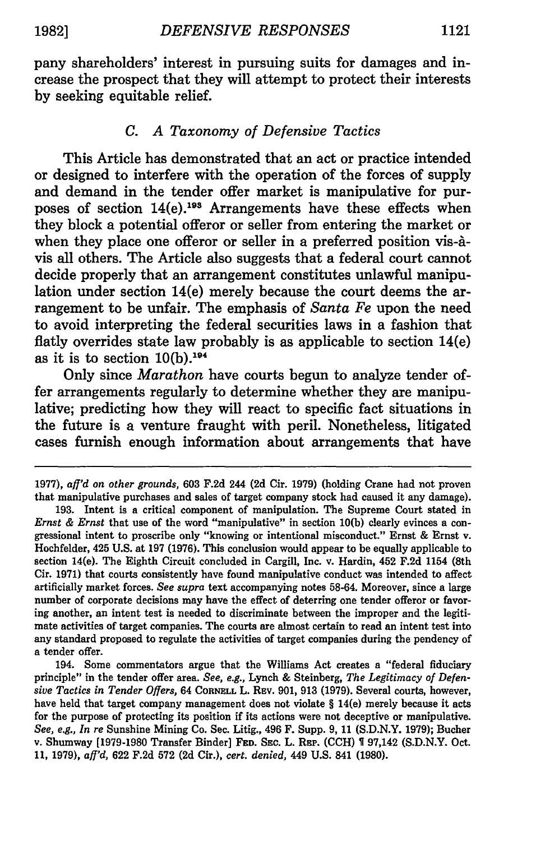pany shareholders' interest in pursuing suits for damages and increase the prospect that they will attempt to protect their interests **by** seeking equitable relief.

#### *C. A Taxonomy of Defensive Tactics*

This Article has demonstrated that an act or practice intended or designed to interfere with the operation of the forces of supply and demand in the tender offer market is manipulative for purposes of section 14(e).<sup>198</sup> Arrangements have these effects when they block a potential offeror or seller from entering the market or when they place one offeror or seller in a preferred position vis-àvis all others. The Article also suggests that a federal court cannot decide properly that an arrangement constitutes unlawful manipulation under section 14(e) merely because the court deems the arrangement to be unfair. The emphasis of *Santa Fe* upon the need to avoid interpreting the federal securities laws in a fashion that flatly overrides state law probably is as applicable to section 14(e) as it is to section  $10(b)$ .<sup>194</sup>

Only since *Marathon* have courts begun to analyze tender offer arrangements regularly to determine whether they are manipulative; predicting how they will react to specific fact situations in the future is a venture fraught with peril. Nonetheless, litigated cases furnish enough information about arrangements that have

194. Some commentators argue that the Williams Act creates a "federal fiduciary principle" in the tender offer area. *See, e.g.,* Lynch & Steinberg, *The Legitimacy of Defensive Tactics in Tender Offers,* 64 CORNELL L. REV. **901,** 913 (1979). Several courts, however, have held that target company management does not violate § 14(e) merely because it acts for the purpose of protecting **its** position if **its** actions were not deceptive or manipulative. *See, e.g., In re* Sunshine Mining Co. Sec. Litig., **496** F. Supp. **9, 11** (S.D.N.Y. **1979);** Bucher v. Shumway [1979-1980 Transfer Binder] **FED.** SEC. L. REP. (CCH) **1** 97,142 (S.D.N.Y. Oct. **11, 1979),** *aff'd,* **622** F.2d **572 (2d** Cir.), *cert. denied,* 449 **U.S.** 841 **(1980).**

<sup>1977),</sup> *aff'd on other grounds,* 603 F.2d 244 (2d Cir. 1979) (holding Crane had not proven that manipulative purchases and sales of target company stock had caused it any damage).

**<sup>193.</sup>** Intent is a critical component of manipulation. The Supreme Court stated in *Ernst & Ernst* that use of the word "manipulative" in section 10(b) clearly evinces a congressional intent to proscribe only "knowing or intentional misconduct." Ernst & Ernst v. Hochfelder, 425 U.S. at 197 **(1976).** This conclusion would appear to be equally applicable to section 14(e). The Eighth Circuit concluded in Cargill, Inc. v. Hardin, 452 F.2d 1154 (8th Cir. 1971) that courts consistently have found manipulative conduct was intended to affect artificially market forces. *See supra* text accompanying notes **58-64.** Moreover, since a large number of corporate decisions may have the effect of deterring one tender offeror or favoring another, an intent test is needed to discriminate between the improper and the legitimate activities of target companies. The courts are almost certain to read an intent test into any standard proposed to regulate the activities of target companies during the pendency of a tender offer.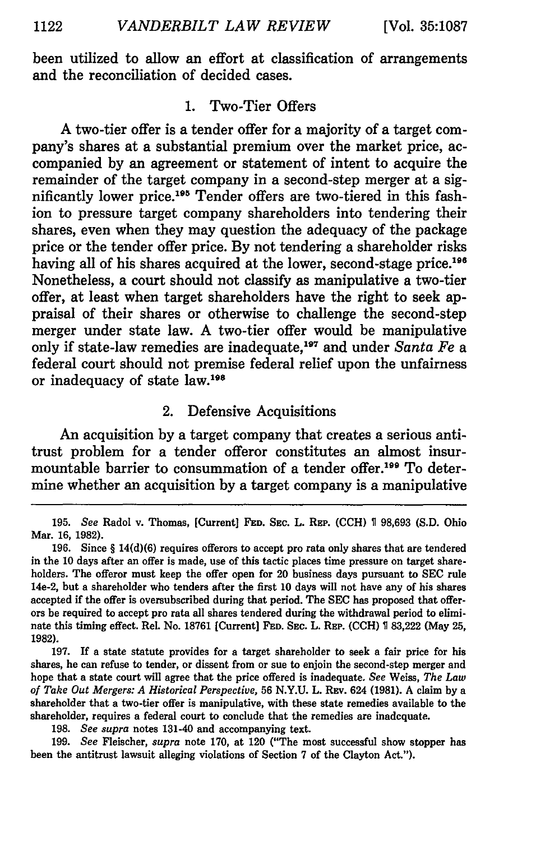been utilized to allow an effort at classification of arrangements and the reconciliation of decided cases.

#### **1.** Two-Tier Offers

**A** two-tier offer is a tender offer for a majority of a target company's shares at a substantial premium over the market price, accompanied **by** an agreement or statement of intent to acquire the remainder of the target company in a second-step merger at a significantly lower price.<sup>195</sup> Tender offers are two-tiered in this fashion to pressure target company shareholders into tendering their shares, even when they may question the adequacy of the package price or the tender offer price. **By** not tendering a shareholder risks having all of his shares acquired at the lower, second-stage price.<sup>196</sup> Nonetheless, a court should not classify as manipulative a two-tier offer, at least when target shareholders have the right to seek appraisal of their shares or otherwise to challenge the second-step merger under state law. **A** two-tier offer would be manipulative only if state-law remedies are inadequate,<sup>197</sup> and under Santa Fe a federal court should not premise federal relief upon the unfairness or inadequacy of state law.198

# 2. Defensive Acquisitions

An acquisition **by** a target company that creates a serious antitrust problem for a tender offeror constitutes an almost insurmountable barrier to consummation of a tender offer.199 To determine whether an acquisition **by** a target company is a manipulative

**198.** *See supra* notes 131-40 and accompanying text.

**199.** *See* Fleischer, *supra* note **170,** at 120 ("The most successful show stopper has been the antitrust lawsuit alleging violations of Section **7** of the Clayton Act.").

**<sup>195.</sup>** *See* Radol v. Thomas, [Current] **FED. SEC.** L. **REP. (CCH) 1 98,693 (S.D.** Ohio Mar. **16, 1982).**

**<sup>196.</sup>** Since **§** 14(d)(6) requires offerors to accept pro rata only shares that are tendered in the **10** days after an offer is made, use of this tactic places time pressure on target shareholders. The offeror must keep the offer open for 20 business days pursuant to **SEC** rule 14e-2, but a shareholder who tenders after the first **10** days will not have any of his shares accepted if the offer is oversubscribed during that period. The **SEC** has proposed that offerors be required to accept pro rata all shares tendered during the withdrawal period to eliminate this timing effect. Rel. No. **18761** [Current] **FED. SEC.** L. **REP. (CCH) 83,222** (May **25, 1982).**

**<sup>197.</sup> If** a state statute provides for a target shareholder to seek a fair price for his shares, he can refuse to tender, or dissent from or sue to enjoin the second-step merger and hope that a state court will agree that the price offered is inadequate. *See* Weiss, *The Law of Take Out Mergers: A Historical Perspective,* **56 N.Y.U.** L. **REv.** 624 **(1981). A** claim **by** a shareholder that a two-tier offer is manipulative, with these state remedies available to the shareholder, requires a federal court to conclude that the remedies are inadequate.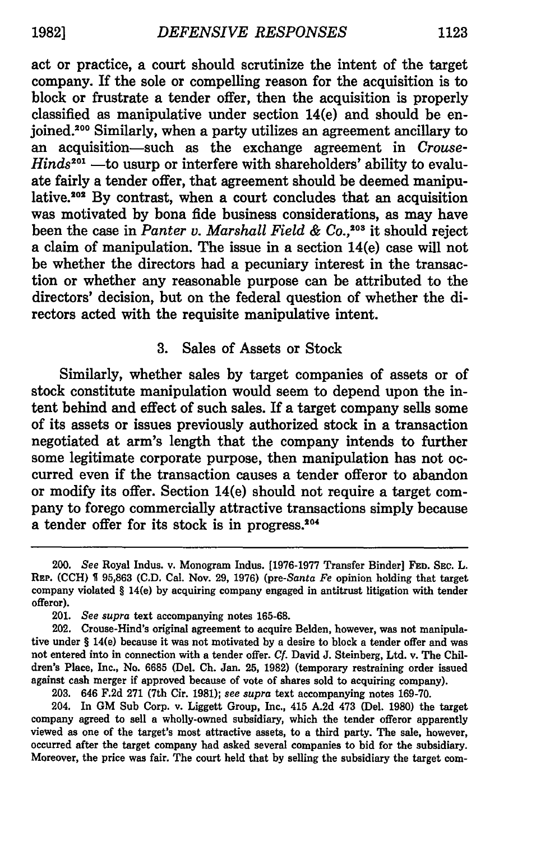act or practice, a court should scrutinize the intent of the target company. If the sole or compelling reason for the acquisition is to block or frustrate a tender offer, then the acquisition is properly classified as manipulative under section 14(e) and should be enjoined.<sup>200</sup> Similarly, when a party utilizes an agreement ancillary to an acquisition-such as the exchange agreement in *Crouse-Hinds*<sup>201</sup> —to usurp or interfere with shareholders' ability to evaluate fairly a tender offer, that agreement should be deemed manipulative.<sup>202</sup> By contrast, when a court concludes that an acquisition was motivated by bona fide business considerations, as may have been the case in *Panter v. Marshall Field & Co.,203* it should reject a claim of manipulation. The issue in a section 14(e) case will not be whether the directors had a pecuniary interest in the transaction or whether any reasonable purpose can be attributed to the directors' decision, but on the federal question of whether the directors acted with the requisite manipulative intent.

#### 3. Sales of Assets or Stock

Similarly, whether sales by target companies of assets or of stock constitute manipulation would seem to depend upon the intent behind and effect of such sales. If a target company sells some of its assets or issues previously authorized stock in a transaction negotiated at arm's length that the company intends to further some legitimate corporate purpose, then manipulation has not occurred even if the transaction causes a tender offeror to abandon or modify its offer. Section 14(e) should not require a target company to forego commercially attractive transactions simply because a tender offer for its stock is in progress.<sup>204</sup>

203. 646 F.2d 271 (7th Cir. 1981); *see supra* text accompanying notes 169-70.

204. In **GM** Sub Corp. v. Liggett Group, Inc., 415 A.2d 473 (Del. 1980) the target company agreed to sell a wholly-owned subsidiary, which the tender offeror apparently viewed as one of the target's most attractive assets, to a third party. The sale, however, occurred after the target company had asked several companies to bid for the subsidiary. Moreover, the price was fair. The court held that by selling the subsidiary the target corn-

<sup>200.</sup> *See* Royal Indus. v. Monogram Indus. [1976-1977 Transfer Binder] **FED.** SEc. L. REP. (CCH) **S** 95,863 (C.D. Cal. Nov. 29, 1976) (pre-Santa *Fe* opinion holding that target company violated § 14(e) by acquiring company engaged in antitrust litigation with tender offeror).

<sup>201.</sup> *See supra* text accompanying notes **165-68.**

<sup>202.</sup> Crouse-Hind's original agreement to acquire Belden, however, was not manipulative under § 14(e) because it was not motivated by a desire to block a tender offer and was not entered into in connection with a tender offer. *Cf.* David J. Steinberg, Ltd. v. The Children's Place, Inc., No. 6685 (Del. **Ch.** Jan. 25, 1982) (temporary restraining order issued against cash merger if approved because of vote of shares sold to acquiring company).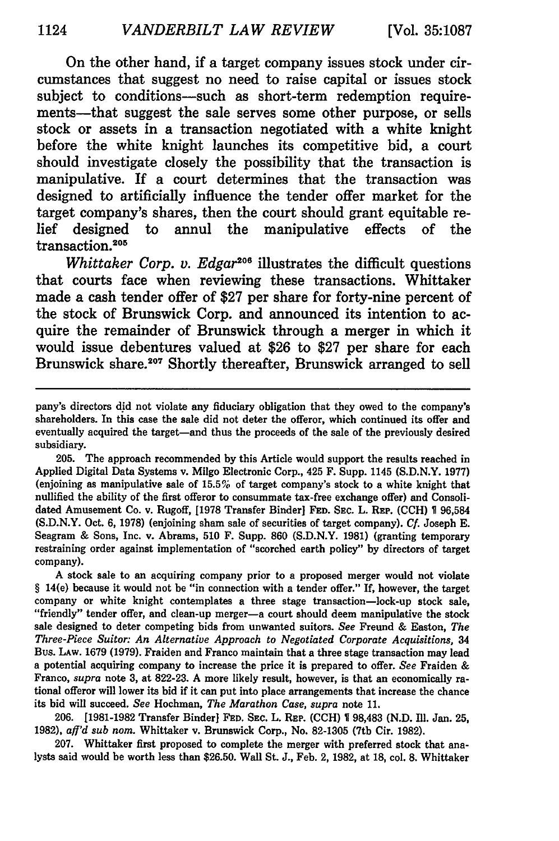On the other hand, if a target company issues stock under circumstances that suggest no need to raise capital or issues stock subject to conditions-such as short-term redemption requirements—that suggest the sale serves some other purpose, or sells stock or assets in a transaction negotiated with a white knight before the white knight launches its competitive bid, a court should investigate closely the possibility that the transaction is manipulative. If a court determines that the transaction was designed to artificially influence the tender offer market for the target company's shares, then the court should grant equitable relief designed to annul the manipulative effects of the transaction.<sup>205</sup>

*Whittaker Corp. v. Edgar*<sup>206</sup> illustrates the difficult questions that courts face when reviewing these transactions. Whittaker made a cash tender offer of **\$27** per share for forty-nine percent of the stock of Brunswick Corp. and announced its intention to acquire the remainder of Brunswick through a merger in which it would issue debentures valued at **\$26** to **\$27** per share for each Brunswick share.<sup>207</sup> Shortly thereafter, Brunswick arranged to sell

205. The approach recommended by this Article would support the results reached in Applied Digital Data Systems v. Milgo Electronic Corp., 425 F. Supp. 1145 (S.D.N.Y. 1977) (enjoining as manipulative sale of 15.5% of target company's stock to a white knight that nullified the ability of the first offeror to consummate tax-free exchange offer) and Consolidated Amusement Co. v. Rugoff, [1978 Transfer Binder] FED. SEC. L. REP. **(CCH) 1** 96,584 (S.D.N.Y. Oct. 6, 1978) (enjoining sham sale of securities of target company). **Cf.** Joseph E. Seagram & Sons, Inc. v. Abrams, 510 F. Supp. 860 (S.D.N.Y. **1981)** (granting temporary restraining order against implementation of "scorched earth policy" by directors of target company).

A stock sale to an acquiring company prior to a proposed merger would not violate *§* 14(e) because it would not be "in connection with a tender offer." If, however, the target company or white knight contemplates a three stage transaction-lock-up stock sale, "friendly" tender offer, and clean-up merger-a court should deem manipulative the stock sale designed to deter competing bids from unwanted suitors. *See* Freund & Easton, *The Three-Piece Suitor: An Alternative Approach to Negotiated Corporate Acquisitions,* 34 Bus. LAW. 1679 (1979). Fraiden and Franco maintain that a three stage transaction may lead a potential acquiring company to increase the price it is prepared to offer. *See* Fraiden & Franco, *supra* note 3, at 822-23. A more likely result, however, is that an economically rational offeror will lower its bid if it can put into place arrangements that increase the chance its bid will succeed. *See* Hochman, *The Marathon Case, supra* note 11.

206. [1981-1982 Transfer Binder] **FED. SEC.** L. REP. (CCH) 98,483 (N.D. Ill. Jan. 25, 1982), *aff'd sub nom.* Whittaker v. Brunswick Corp., No. 82-1305 (7th Cir. 1982).

207. Whittaker first proposed to complete the merger with preferred stock that analysts said would be worth less than \$26.50. Wall St. J., Feb. 2, 1982, at 18, col. 8. Whittaker

pany's directors did not violate any fiduciary obligation that they owed to the company's shareholders. In this case the sale did not deter the offeror, which continued its offer and eventually acquired the target-and thus the proceeds of the sale of the previously desired subsidiary.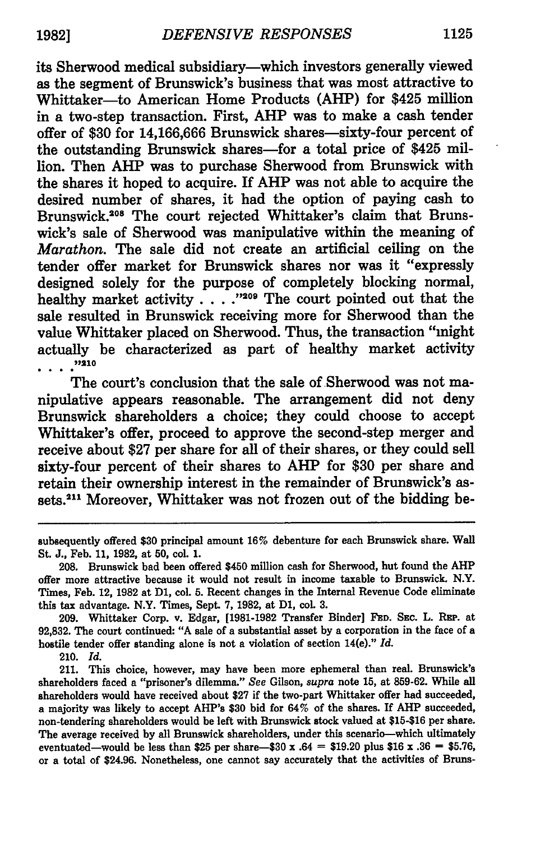its Sherwood medical subsidiary-which investors generally viewed as the segment of Brunswick's business that was most attractive to Whittaker-to American Home Products (AHP) for \$425 million in a two-step transaction. First, AHP was to make a cash tender offer of \$30 for 14,166,666 Brunswick shares-sixty-four percent of the outstanding Brunswick shares-for a total price of \$425 million. Then AHP was to purchase Sherwood from Brunswick with the shares it hoped to acquire. If AHP was not able to acquire the desired number of shares, it had the option of paying cash to Brunswick.<sup>208</sup> The court rejected Whittaker's claim that Brunswick's sale of Sherwood was manipulative within the meaning of *Marathon.* The sale did not create an artificial ceiling on the tender offer market for Brunswick shares nor was it "expressly designed solely for the purpose of completely blocking normal, healthy market activity . . . .<sup>200</sup> The court pointed out that the sale resulted in Brunswick receiving more for Sherwood than the value Whittaker placed on Sherwood. Thus, the transaction "might actually be characterized as part of healthy market activity **,1210**

The court's conclusion that the sale of Sherwood was not manipulative appears reasonable. The arrangement did not deny Brunswick shareholders a choice; they could choose to accept Whittaker's offer, proceed to approve the second-step merger and receive about \$27 per share for all of their shares, or they could sell sixty-four percent of their shares to AHP for \$30 per share and retain their ownership interest in the remainder of Brunswick's assets.<sup>211</sup> Moreover, Whittaker was not frozen out of the bidding be-

**209.** Whittaker Corp. v. Edgar, **[1981-1982** Transfer Binder] FED. SEC. L. REP. at **92,832.** The court continued: **"A** sale of a substantial asset **by** a corporation in the face of a hostile tender offer standing alone is not a violation of section 14(e)." *Id.*

210. *Id.*

211. This choice, however, may have been more ephemeral than real. Brunswick's shareholders faced a "prisoner's dilemma." See Gilson, *supra* note **15,** at 859-62. While all shareholders would have received about \$27 if the two-part Whittaker offer had succeeded, a majority was likely to accept AHP's \$30 bid for 64% of the shares. If **AHP** succeeded, non-tendering shareholders would be left with Brunswick stock valued at \$15-\$16 per share. The average received by all Brunswick shareholders, under this scenario--which ultimately eventuated-would be less than \$25 per share-\$30 x .64 = \$19.20 plus \$16 x **.36 =** \$5.76, or a total of \$24.96. Nonetheless, one cannot say accurately that the activities of Bruns-

subsequently offered **\$30** principal amount **16%** debenture for each Brunswick share. **Wall** St. **J.,** Feb. **11, 1982,** at **50,** col. **1.**

**<sup>208.</sup>** Brunswick had been offered \$450 million cash for Sherwood, but found the **AHP** offer more attractive because it would not result in income taxable to Brunswick. N.Y. Times, Feb. 12, **1982** at **D1,** col. **5.** Recent changes in the Internal Revenue Code eliminate this tax advantage. N.Y. Times, Sept. **7, 1982,** at **D1,** col. **3.**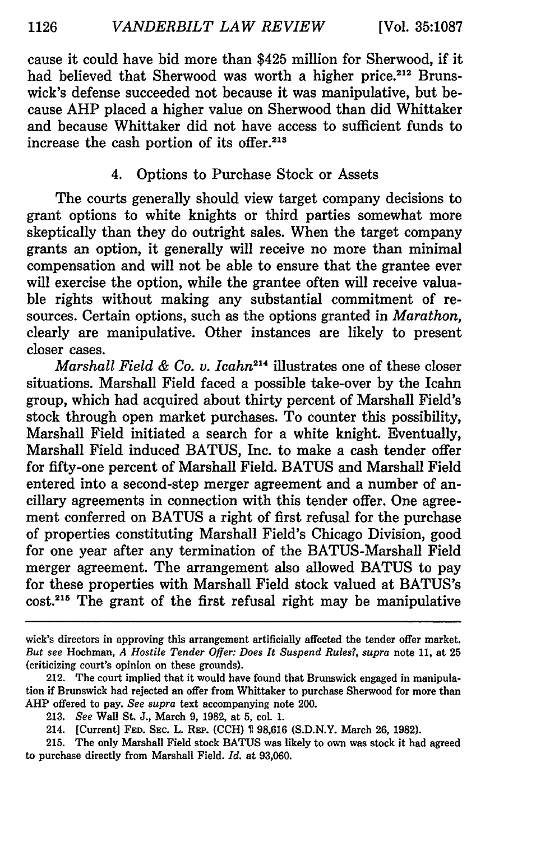cause it could have bid more than \$425 million for Sherwood, if it had believed that Sherwood was worth a higher price.<sup>212</sup> Brunswick's defense succeeded not because it was manipulative, but because AHP placed a higher value on Sherwood than did Whittaker and because Whittaker did not have access to sufficient funds to increase the cash portion of its offer.<sup>213</sup>

# 4. Options to Purchase Stock or Assets

The courts generally should view target company decisions to grant options to white knights or third parties somewhat more skeptically than they do outright sales. When the target company grants an option, it generally will receive no more than minimal compensation and will not be able to ensure that the grantee ever will exercise the option, while the grantee often will receive valuable rights without making any substantial commitment of resources. Certain options, such as the options granted in *Marathon,* clearly are manipulative. Other instances are likely to present closer cases.

*Marshall Field & Co. v. Icahn214* illustrates one of these closer situations. Marshall Field faced a possible take-over by the Icahn group, which had acquired about thirty percent of Marshall Field's stock through open market purchases. To counter this possibility, Marshall Field initiated a search for a white knight. Eventually, Marshall Field induced BATUS, Inc. to make a cash tender offer for fifty-one percent of Marshall Field. BATUS and Marshall Field entered into a second-step merger agreement and a number of ancillary agreements in connection with this tender offer. One agreement conferred on BATUS a right of first refusal for the purchase of properties constituting Marshall Field's Chicago Division, good for one year after any termination of the BATUS-Marshall Field merger agreement. The arrangement also allowed BATUS to pay for these properties with Marshall Field stock valued at BATUS's cost.<sup>215</sup> The grant of the first refusal right may be manipulative

wick's directors in approving this arrangement artificially affected the tender offer market. *But see* Hochman, *A Hostile Tender Offer: Does It Suspend Rules?, supra* note 11, at 25 (criticizing court's opinion on these grounds).

<sup>212.</sup> The court implied that it would have found that Brunswick engaged in manipulation if Brunswick had rejected an offer from Whittaker to purchase Sherwood for more than AHP offered to pay. *See supra* text accompanying note 200.

<sup>213.</sup> *See* Wall St. J., March 9, 1982, at 5, col. 1.

<sup>214. [</sup>Current] **FED.** SEC. L. REP. (CCH) **1** 98,616 (S.D.N.Y. March 26, 1982).

<sup>215.</sup> The only Marshall Field stock BATUS was likely to own was stock it had agreed to purchase directly from Marshall Field. *Id.* at 93,060.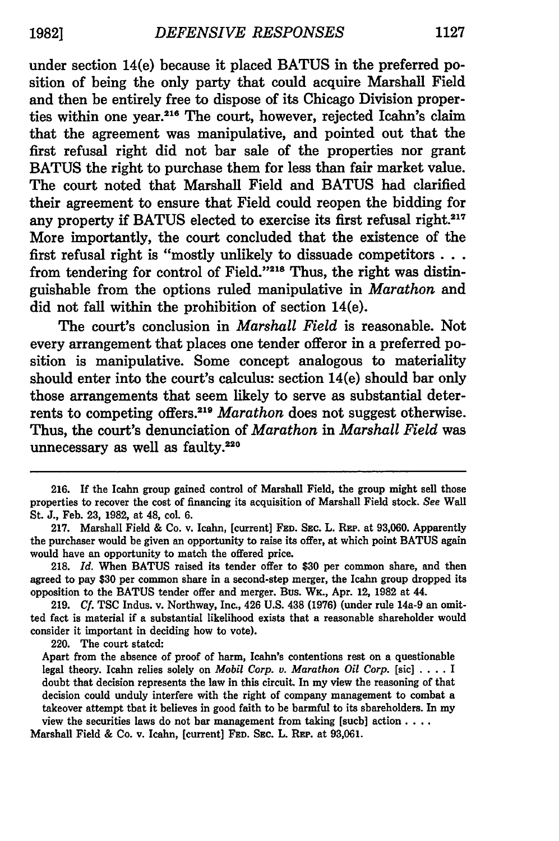under section 14(e) because it placed **BATUS** in the preferred position of being the only party that could acquire Marshall Field and then be entirely free to dispose of its Chicago Division properties within one year.<sup>216</sup> The court, however, rejected Icahn's claim that the agreement was manipulative, and pointed out that the first refusal right did not bar sale of the properties nor grant **BATUS** the right to purchase them for less than fair market value. The court noted that Marshall Field and **BATUS had** clarified their agreement to ensure that Field could reopen the bidding for any property if BATUS elected to exercise its first refusal right.<sup>217</sup> More importantly, the court concluded that the existence of the first refusal right is "mostly unlikely to dissuade competitors  $\dots$ from tendering for control of Field."218 Thus, the right was distinguishable from the options ruled manipulative in *Marathon* and did not fall within the prohibition of section 14(e).

The court's conclusion in *Marshall Field* is reasonable. Not every arrangement that places one tender offeror in a preferred position is manipulative. Some concept analogous to materiality should enter into the court's calculus: section 14(e) should bar only those arrangements that seem likely to serve as substantial deterrents to competing offers.<sup>219</sup> Marathon does not suggest otherwise. Thus, the court's denunciation of *Marathon* in *Marshall Field* was unnecessary as well as faulty.<sup>220</sup>

220. The court stated:

Marshall Field **&** Co. v. Icahn, [current] **FED. SEc.** L. REP. at **93,061.**

**<sup>216.</sup>** If the Icahn group gained control of Marshall Field, the group might sell those properties to recover the cost of financing its acquisition of Marshall Field stock. *See* Wall St. **J.,** Feb. **23, 1982,** at 48, col. **6.**

**<sup>217.</sup>** Marshall Field **&** Co. v. Icahn, [current] **FED. SEC.** L. REP. at **93,060.** Apparently the purchaser would be given an opportunity to raise its offer, at which point **BATUS** again would have an opportunity to match the offered price.

**<sup>218.</sup>** *Id.* When **BATUS** raised its tender offer to **\$30** per common share, and then agreed to pay **\$30** per common share in a second-step merger, the Icaln group dropped its opposition to the **BATUS** tender offer and merger. Bus. WK., Apr. 12, **1982** at 44.

**<sup>219.</sup>** *Cf.* **TSC** Indus. v. Northway, Inc., 426 **U.S.** 438 **(1976)** (under rule 14a-9 an omitted fact is material if a substantial likelihood exists that a reasonable shareholder would consider it important in deciding how to vote).

Apart from the absence of proof of harm, Icahn's contentions rest on a questionable legal theory. Icahn relies solely on *Mobil Corp. v. Marathon Oil Corp.* [sic] **....** I doubt that decision represents the law in this circuit. In my view the reasoning of that decision could unduly interfere with the right of company management to combat a takeover attempt that it believes in good faith to be harmful to its shareholders. In my view the securities laws do not bar management from taking [such] action  $\ldots$ .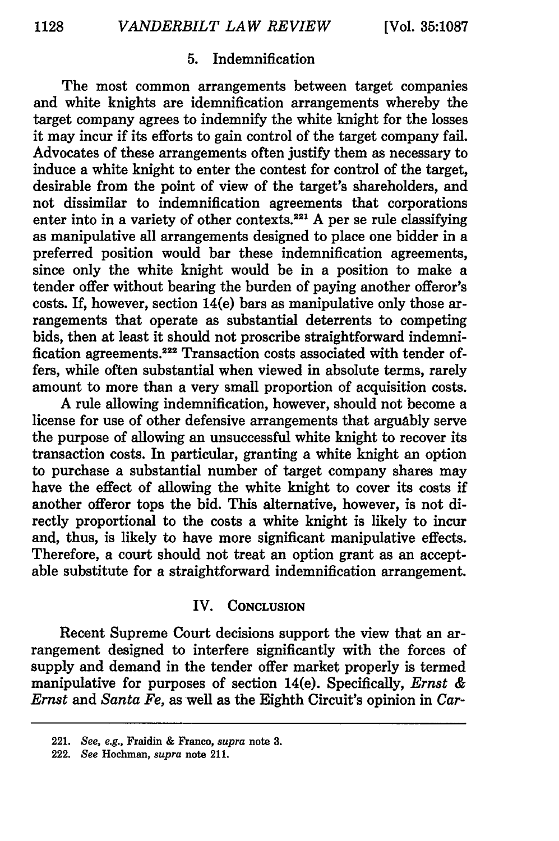# **5.** Indemnification

The most common arrangements between target companies and white knights are idemnification arrangements whereby the target company agrees to indemnify the white knight for the losses it may incur if its efforts to gain control of the target company fail. Advocates of these arrangements often justify them as necessary to induce a white knight to enter the contest for control of the target, desirable from the point of view of the target's shareholders, and not dissimilar to indemnification agreements that corporations enter into in a variety of other contexts.<sup>221</sup> A per se rule classifying as manipulative all arrangements designed to place one bidder in a preferred position would bar these indemnification agreements, since only the white knight would be in a position to make a tender offer without bearing the burden of paying another offeror's costs. If, however, section 14(e) bars as manipulative only those arrangements that operate as substantial deterrents to competing bids, then at least it should not proscribe straightforward indemnification agreements.<sup>222</sup> Transaction costs associated with tender offers, while often substantial when viewed in absolute terms, rarely amount to more than a very small proportion of acquisition costs.

A rule allowing indemnification, however, should not become a license for use of other defensive arrangements that arguably serve the purpose of allowing an unsuccessful white knight to recover its transaction costs. In particular, granting a white knight an option to purchase a substantial number of target company shares may have the effect of allowing the white knight to cover its costs if another offeror tops the bid. This alternative, however, is not directly proportional to the costs a white knight is likely to incur and, thus, is likely to have more significant manipulative effects. Therefore, a court should not treat an option grant as an acceptable substitute for a straightforward indemnification arrangement.

#### IV. **CONCLUSION**

Recent Supreme Court decisions support the view that an arrangement designed to interfere significantly with the forces of supply and demand in the tender offer market properly is termed manipulative for purposes of section 14(e). Specifically, *Ernst & Ernst and Santa Fe,* as well as the Eighth Circuit's opinion in *Car-*

<sup>221.</sup> *See, e.g.,* Fraidin & Franco, *supra* note **3.**

<sup>222.</sup> *See* Hochman, *supra* note 211.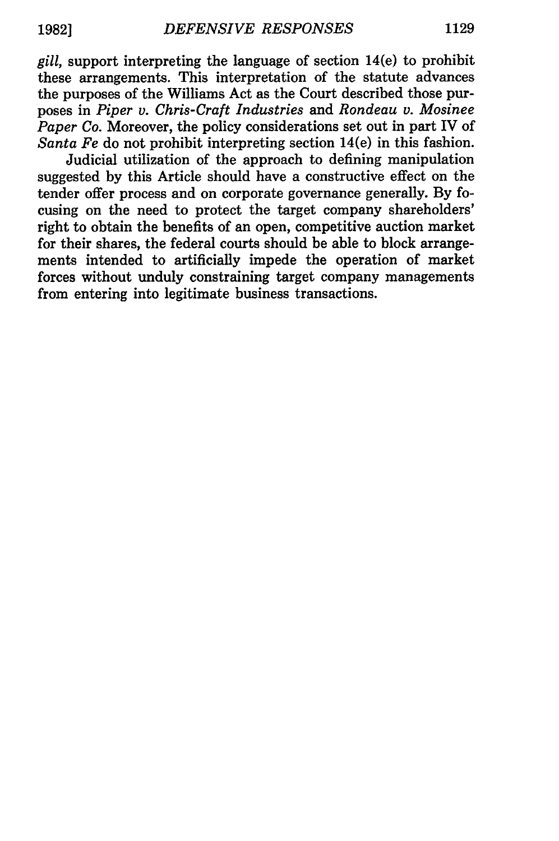*gill,* support interpreting the language of section 14(e) to prohibit these arrangements. This interpretation of the statute advances the purposes of the Williams Act as the Court described those purposes in *Piper v. Chris-Craft Industries* and *Rondeau v. Mosinee Paper Co.* Moreover, the policy considerations set out in part IV of *Santa Fe* do not prohibit interpreting section 14(e) in this fashion.

Judicial utilization of the approach to defining manipulation suggested by this Article should have a constructive effect on the tender offer process and on corporate governance generally. By focusing on the need to protect the target company shareholders' right to obtain the benefits of an open, competitive auction market for their shares, the federal courts should be able to block arrangements intended to artificially impede the operation of market forces without unduly constraining target company managements from entering into legitimate business transactions.